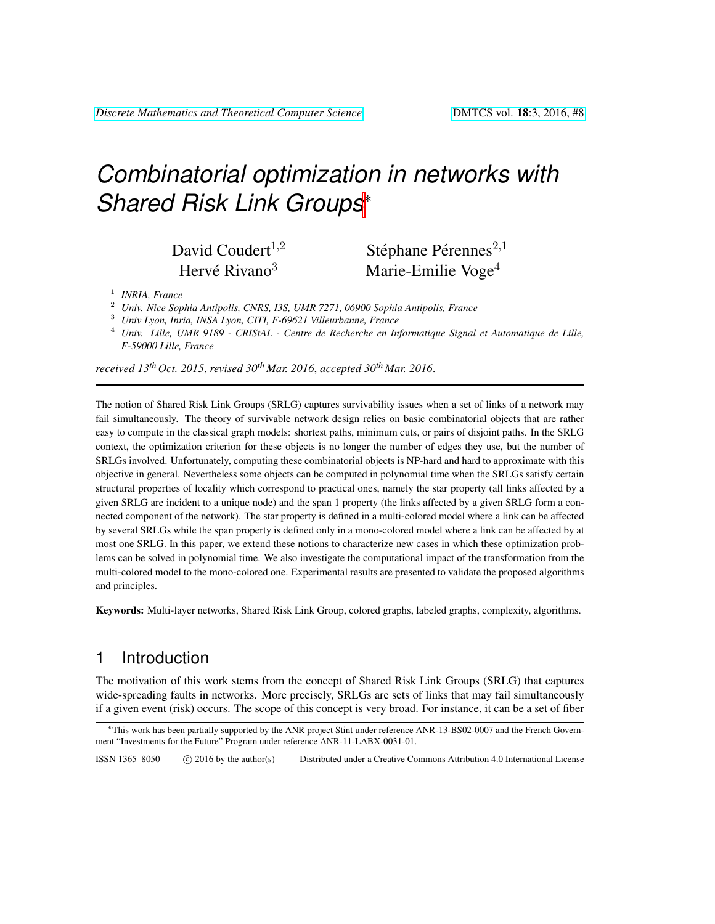# *Combinatorial optimization in networks with Shared Risk Link Groups*<sup>∗</sup>

Hervé Rivano $3$ 

David Coudert<sup>1,2</sup> Stéphane Pérennes<sup>2,1</sup> Marie-Emilie Voge<sup>4</sup>

- <sup>2</sup> *Univ. Nice Sophia Antipolis, CNRS, I3S, UMR 7271, 06900 Sophia Antipolis, France*
- <sup>3</sup> *Univ Lyon, Inria, INSA Lyon, CITI, F-69621 Villeurbanne, France*
- <sup>4</sup> *Univ. Lille, UMR 9189 CRIStAL Centre de Recherche en Informatique Signal et Automatique de Lille, F-59000 Lille, France*

*received 13th Oct. 2015*, *revised 30th Mar. 2016*, *accepted 30th Mar. 2016*.

The notion of Shared Risk Link Groups (SRLG) captures survivability issues when a set of links of a network may fail simultaneously. The theory of survivable network design relies on basic combinatorial objects that are rather easy to compute in the classical graph models: shortest paths, minimum cuts, or pairs of disjoint paths. In the SRLG context, the optimization criterion for these objects is no longer the number of edges they use, but the number of SRLGs involved. Unfortunately, computing these combinatorial objects is NP-hard and hard to approximate with this objective in general. Nevertheless some objects can be computed in polynomial time when the SRLGs satisfy certain structural properties of locality which correspond to practical ones, namely the star property (all links affected by a given SRLG are incident to a unique node) and the span 1 property (the links affected by a given SRLG form a connected component of the network). The star property is defined in a multi-colored model where a link can be affected by several SRLGs while the span property is defined only in a mono-colored model where a link can be affected by at most one SRLG. In this paper, we extend these notions to characterize new cases in which these optimization problems can be solved in polynomial time. We also investigate the computational impact of the transformation from the multi-colored model to the mono-colored one. Experimental results are presented to validate the proposed algorithms and principles.

Keywords: Multi-layer networks, Shared Risk Link Group, colored graphs, labeled graphs, complexity, algorithms.

## 1 Introduction

The motivation of this work stems from the concept of Shared Risk Link Groups (SRLG) that captures wide-spreading faults in networks. More precisely, SRLGs are sets of links that may fail simultaneously if a given event (risk) occurs. The scope of this concept is very broad. For instance, it can be a set of fiber

ISSN 1365–8050 (C) 2016 by the author(s) Distributed under a Creative Commons Attribution 4.0 International License

<sup>1</sup> *INRIA, France*

<sup>∗</sup>This work has been partially supported by the ANR project Stint under reference ANR-13-BS02-0007 and the French Government "Investments for the Future" Program under reference ANR-11-LABX-0031-01.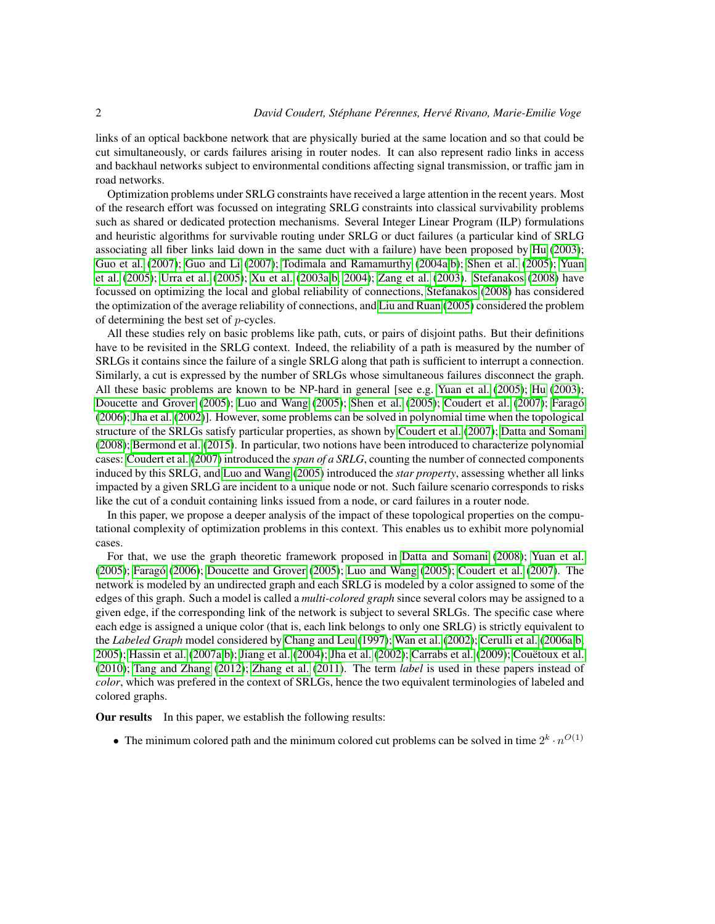links of an optical backbone network that are physically buried at the same location and so that could be cut simultaneously, or cards failures arising in router nodes. It can also represent radio links in access and backhaul networks subject to environmental conditions affecting signal transmission, or traffic jam in road networks.

Optimization problems under SRLG constraints have received a large attention in the recent years. Most of the research effort was focussed on integrating SRLG constraints into classical survivability problems such as shared or dedicated protection mechanisms. Several Integer Linear Program (ILP) formulations and heuristic algorithms for survivable routing under SRLG or duct failures (a particular kind of SRLG associating all fiber links laid down in the same duct with a failure) have been proposed by [Hu](#page-22-0) [\(2003\)](#page-22-0); [Guo et al.](#page-22-1) [\(2007\)](#page-22-1); [Guo and Li](#page-22-2) [\(2007\)](#page-22-2); [Todimala and Ramamurthy](#page-23-0) [\(2004a](#page-23-0)[,b\)](#page-23-1); [Shen et al.](#page-23-2) [\(2005\)](#page-23-2); [Yuan](#page-24-0) [et al.](#page-24-0) [\(2005\)](#page-24-0); [Urra et al.](#page-23-3) [\(2005\)](#page-23-3); [Xu et al.](#page-24-1) [\(2003a,](#page-24-1)[b,](#page-24-2) [2004\)](#page-24-3); [Zang et al.](#page-24-4) [\(2003\)](#page-24-4). [Stefanakos](#page-23-4) [\(2008\)](#page-23-4) have focussed on optimizing the local and global reliability of connections, [Stefanakos](#page-23-4) [\(2008\)](#page-23-4) has considered the optimization of the average reliability of connections, and [Liu and Ruan](#page-23-5) [\(2005\)](#page-23-5) considered the problem of determining the best set of p-cycles.

All these studies rely on basic problems like path, cuts, or pairs of disjoint paths. But their definitions have to be revisited in the SRLG context. Indeed, the reliability of a path is measured by the number of SRLGs it contains since the failure of a single SRLG along that path is sufficient to interrupt a connection. Similarly, a cut is expressed by the number of SRLGs whose simultaneous failures disconnect the graph. All these basic problems are known to be NP-hard in general [see e.g. [Yuan et al.](#page-24-0) [\(2005\)](#page-24-0); [Hu](#page-22-0) [\(2003\)](#page-22-0); [Doucette and Grover](#page-22-3) [\(2005\)](#page-23-2); [Luo and Wang](#page-23-6) (2005); [Shen et al.](#page-23-2) (2005); [Coudert et al.](#page-22-4) [\(2007\)](#page-22-4); Faragó [\(2006\)](#page-22-5); [Jha et al.](#page-22-6) [\(2002\)](#page-22-6)]. However, some problems can be solved in polynomial time when the topological structure of the SRLGs satisfy particular properties, as shown by [Coudert et al.](#page-22-4) [\(2007\)](#page-22-4); [Datta and Somani](#page-22-7) [\(2008\)](#page-22-7); [Bermond et al.](#page-21-0) [\(2015\)](#page-21-0). In particular, two notions have been introduced to characterize polynomial cases: [Coudert et al.](#page-22-4) [\(2007\)](#page-22-4) introduced the *span of a SRLG*, counting the number of connected components induced by this SRLG, and [Luo and Wang](#page-23-6) [\(2005\)](#page-23-6) introduced the *star property*, assessing whether all links impacted by a given SRLG are incident to a unique node or not. Such failure scenario corresponds to risks like the cut of a conduit containing links issued from a node, or card failures in a router node.

In this paper, we propose a deeper analysis of the impact of these topological properties on the computational complexity of optimization problems in this context. This enables us to exhibit more polynomial cases.

For that, we use the graph theoretic framework proposed in [Datta and Somani](#page-22-7) [\(2008\)](#page-22-7); [Yuan et al.](#page-24-0) [\(2005\)](#page-23-6); Faragó [\(2006\)](#page-22-5); [Doucette and Grover](#page-22-3) (2005); [Luo and Wang](#page-23-6) (2005); [Coudert et al.](#page-22-4) [\(2007\)](#page-22-4). The network is modeled by an undirected graph and each SRLG is modeled by a color assigned to some of the edges of this graph. Such a model is called a *multi-colored graph* since several colors may be assigned to a given edge, if the corresponding link of the network is subject to several SRLGs. The specific case where each edge is assigned a unique color (that is, each link belongs to only one SRLG) is strictly equivalent to the *Labeled Graph* model considered by [Chang and Leu](#page-22-8) [\(1997\)](#page-22-8); [Wan et al.](#page-24-5) [\(2002\)](#page-24-5); [Cerulli et al.](#page-22-9) [\(2006a](#page-22-9)[,b,](#page-22-10) [2005\)](#page-22-11); [Hassin et al.](#page-22-12) [\(2007a,](#page-22-12)[b\)](#page-22-13); [Jiang et al.](#page-23-7) [\(2004\)](#page-23-7); [Jha et al.](#page-22-6) [\(2002\)](#page-22-6); [Carrabs et al.](#page-21-1) [\(2009\)](#page-21-1); [Couetoux et al.](#page-22-14) [\(2010\)](#page-22-14); [Tang and Zhang](#page-23-8) [\(2012\)](#page-23-8); [Zhang et al.](#page-24-6) [\(2011\)](#page-24-6). The term *label* is used in these papers instead of *color*, which was prefered in the context of SRLGs, hence the two equivalent terminologies of labeled and colored graphs.

Our results In this paper, we establish the following results:

• The minimum colored path and the minimum colored cut problems can be solved in time  $2^k \cdot n^{O(1)}$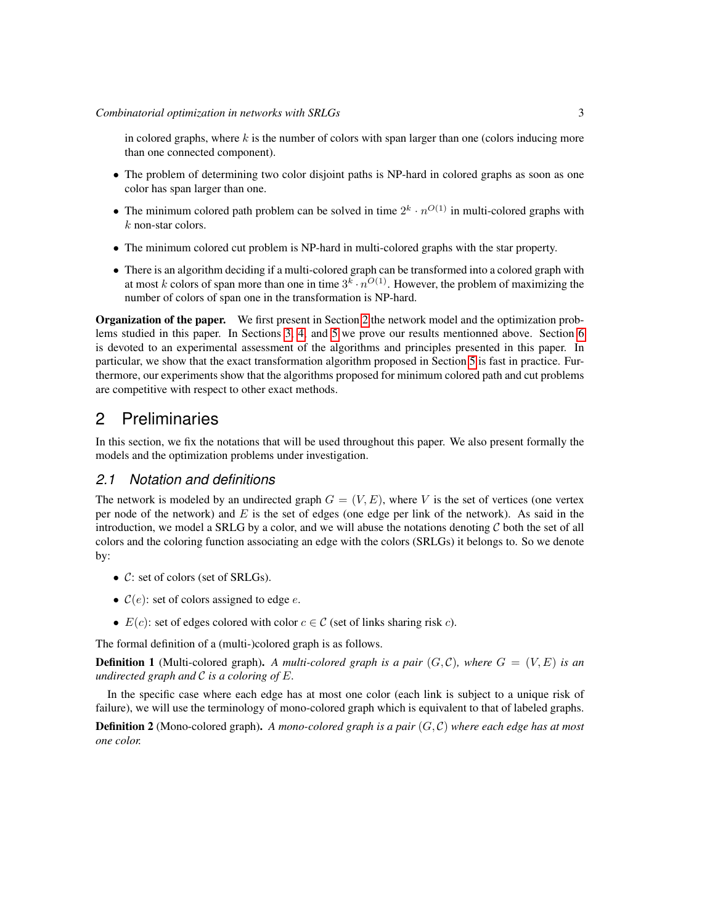in colored graphs, where  $k$  is the number of colors with span larger than one (colors inducing more than one connected component).

- The problem of determining two color disjoint paths is NP-hard in colored graphs as soon as one color has span larger than one.
- The minimum colored path problem can be solved in time  $2^k \cdot n^{O(1)}$  in multi-colored graphs with k non-star colors.
- The minimum colored cut problem is NP-hard in multi-colored graphs with the star property.
- There is an algorithm deciding if a multi-colored graph can be transformed into a colored graph with at most k colors of span more than one in time  $3^k \cdot n^{O(1)}$ . However, the problem of maximizing the number of colors of span one in the transformation is NP-hard.

Organization of the paper. We first present in Section [2](#page-2-0) the network model and the optimization problems studied in this paper. In Sections [3,](#page-5-0) [4,](#page-9-0) and [5](#page-11-0) we prove our results mentionned above. Section [6](#page-18-0) is devoted to an experimental assessment of the algorithms and principles presented in this paper. In particular, we show that the exact transformation algorithm proposed in Section [5](#page-11-0) is fast in practice. Furthermore, our experiments show that the algorithms proposed for minimum colored path and cut problems are competitive with respect to other exact methods.

# <span id="page-2-0"></span>2 Preliminaries

In this section, we fix the notations that will be used throughout this paper. We also present formally the models and the optimization problems under investigation.

## *2.1 Notation and definitions*

The network is modeled by an undirected graph  $G = (V, E)$ , where V is the set of vertices (one vertex per node of the network) and  $E$  is the set of edges (one edge per link of the network). As said in the introduction, we model a SRLG by a color, and we will abuse the notations denoting  $C$  both the set of all colors and the coloring function associating an edge with the colors (SRLGs) it belongs to. So we denote by:

- C: set of colors (set of SRLGs).
- $C(e)$ : set of colors assigned to edge e.
- $E(c)$ : set of edges colored with color  $c \in \mathcal{C}$  (set of links sharing risk c).

The formal definition of a (multi-)colored graph is as follows.

**Definition 1** (Multi-colored graph). A multi-colored graph is a pair  $(G, \mathcal{C})$ , where  $G = (V, E)$  is an *undirected graph and* C *is a coloring of* E*.*

In the specific case where each edge has at most one color (each link is subject to a unique risk of failure), we will use the terminology of mono-colored graph which is equivalent to that of labeled graphs.

Definition 2 (Mono-colored graph). *A mono-colored graph is a pair* (G, C) *where each edge has at most one color.*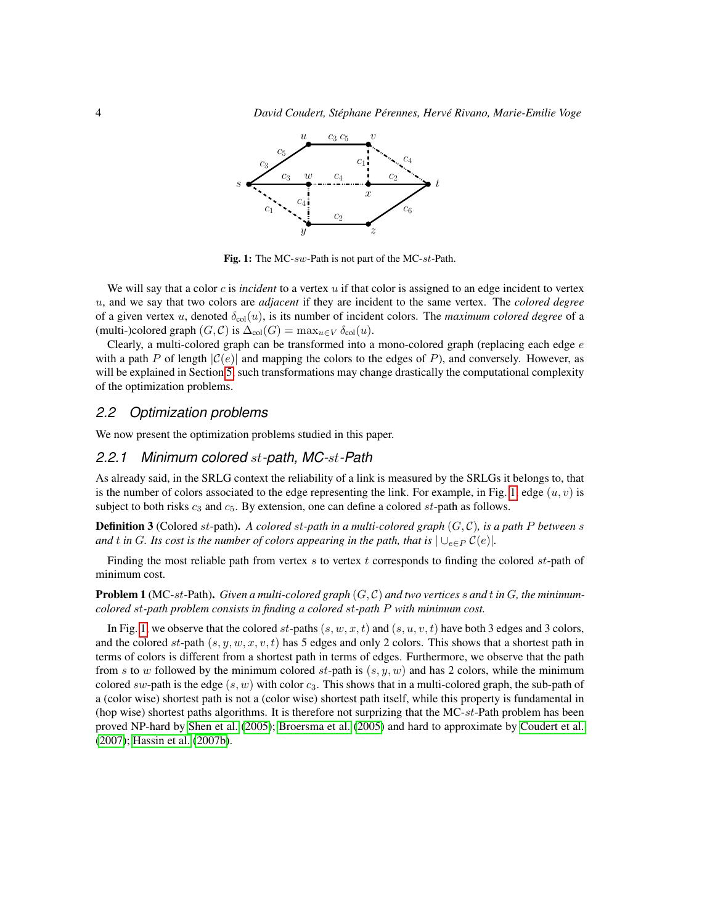

<span id="page-3-0"></span>Fig. 1: The MC-sw-Path is not part of the MC-st-Path.

We will say that a color c is *incident* to a vertex u if that color is assigned to an edge incident to vertex u, and we say that two colors are *adjacent* if they are incident to the same vertex. The *colored degree* of a given vertex u, denoted  $\delta_{\text{col}}(u)$ , is its number of incident colors. The *maximum colored degree* of a (multi-)colored graph  $(G, C)$  is  $\Delta_{col}(G) = \max_{u \in V} \delta_{col}(u)$ .

Clearly, a multi-colored graph can be transformed into a mono-colored graph (replacing each edge  $e$ with a path P of length  $|C(e)|$  and mapping the colors to the edges of P), and conversely. However, as will be explained in Section [5,](#page-11-0) such transformations may change drastically the computational complexity of the optimization problems.

#### <span id="page-3-1"></span>*2.2 Optimization problems*

We now present the optimization problems studied in this paper.

#### *2.2.1 Minimum colored* st*-path, MC-*st*-Path*

As already said, in the SRLG context the reliability of a link is measured by the SRLGs it belongs to, that is the number of colors associated to the edge representing the link. For example, in Fig. [1,](#page-3-0) edge  $(u, v)$  is subject to both risks  $c_3$  and  $c_5$ . By extension, one can define a colored st-path as follows.

**Definition 3** (Colored st-path). A colored st-path in a multi-colored graph  $(G, \mathcal{C})$ , is a path P between s *and* t in G. Its cost is the number of colors appearing in the path, that is  $\bigcup_{e \in P} C(e)$ .

Finding the most reliable path from vertex s to vertex t corresponds to finding the colored st-path of minimum cost.

<span id="page-3-2"></span>**Problem 1** (MC-st-Path). Given a multi-colored graph  $(G, C)$  and two vertices s and t in  $G$ , the minimum*colored* st*-path problem consists in finding a colored* st*-path* P *with minimum cost.*

In Fig. [1,](#page-3-0) we observe that the colored st-paths  $(s, w, x, t)$  and  $(s, u, v, t)$  have both 3 edges and 3 colors, and the colored st-path  $(s, y, w, x, v, t)$  has 5 edges and only 2 colors. This shows that a shortest path in terms of colors is different from a shortest path in terms of edges. Furthermore, we observe that the path from s to w followed by the minimum colored st-path is  $(s, y, w)$  and has 2 colors, while the minimum colored sw-path is the edge  $(s, w)$  with color  $c_3$ . This shows that in a multi-colored graph, the sub-path of a (color wise) shortest path is not a (color wise) shortest path itself, while this property is fundamental in (hop wise) shortest paths algorithms. It is therefore not surprizing that the  $MC-st-Path$  problem has been proved NP-hard by [Shen et al.](#page-23-2) [\(2005\)](#page-23-2); [Broersma et al.](#page-21-2) [\(2005\)](#page-21-2) and hard to approximate by [Coudert et al.](#page-22-4) [\(2007\)](#page-22-4); [Hassin et al.](#page-22-13) [\(2007b\)](#page-22-13).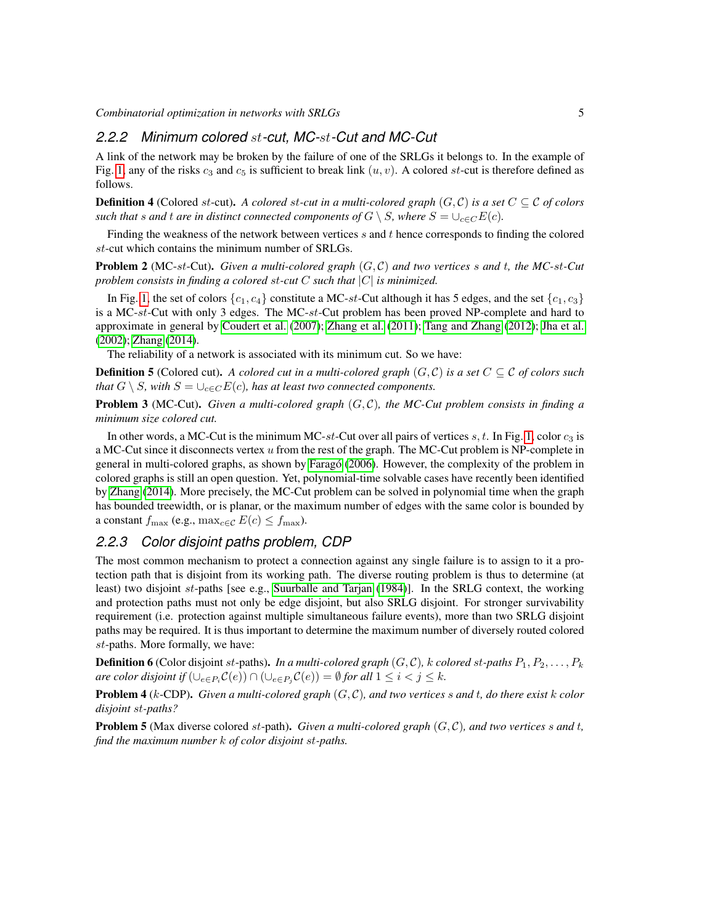*Combinatorial optimization in networks with SRLGs* 5

## *2.2.2 Minimum colored* st*-cut, MC-*st*-Cut and MC-Cut*

A link of the network may be broken by the failure of one of the SRLGs it belongs to. In the example of Fig. [1,](#page-3-0) any of the risks  $c_3$  and  $c_5$  is sufficient to break link  $(u, v)$ . A colored st-cut is therefore defined as follows.

**Definition 4** (Colored st-cut). A colored st-cut in a multi-colored graph  $(G, C)$  is a set  $C \subseteq C$  of colors *such that s* and *t* are in distinct connected components of  $G \setminus S$ , where  $S = \bigcup_{c \in C} E(c)$ .

Finding the weakness of the network between vertices  $s$  and  $t$  hence corresponds to finding the colored st-cut which contains the minimum number of SRLGs.

<span id="page-4-2"></span>Problem 2 (MC-st-Cut). *Given a multi-colored graph* (G, C) *and two vertices* s *and* t*, the MC-*st*-Cut problem consists in finding a colored* st*-cut* C *such that* |C| *is minimized.*

In Fig. [1,](#page-3-0) the set of colors  $\{c_1, c_4\}$  constitute a MC-st-Cut although it has 5 edges, and the set  $\{c_1, c_3\}$ is a MC-st-Cut with only 3 edges. The MC-st-Cut problem has been proved NP-complete and hard to approximate in general by [Coudert et al.](#page-22-4) [\(2007\)](#page-22-4); [Zhang et al.](#page-24-6) [\(2011\)](#page-24-6); [Tang and Zhang](#page-23-8) [\(2012\)](#page-23-8); [Jha et al.](#page-22-6) [\(2002\)](#page-22-6); [Zhang](#page-24-7) [\(2014\)](#page-24-7).

The reliability of a network is associated with its minimum cut. So we have:

**Definition 5** (Colored cut). *A colored cut in a multi-colored graph*  $(G, C)$  *is a set*  $C \subseteq C$  *of colors such that*  $G \setminus S$ *, with*  $S = \bigcup_{c \in C} E(c)$ *, has at least two connected components.* 

<span id="page-4-3"></span>Problem 3 (MC-Cut). *Given a multi-colored graph* (G, C)*, the MC-Cut problem consists in finding a minimum size colored cut.*

In other words, a MC-Cut is the minimum MC-st-Cut over all pairs of vertices  $s, t$ . In Fig. [1,](#page-3-0) color  $c_3$  is a MC-Cut since it disconnects vertex u from the rest of the graph. The MC-Cut problem is NP-complete in general in multi-colored graphs, as shown by [Farago](#page-22-5) [\(2006\)](#page-22-5). However, the complexity of the problem in colored graphs is still an open question. Yet, polynomial-time solvable cases have recently been identified by [Zhang](#page-24-7) [\(2014\)](#page-24-7). More precisely, the MC-Cut problem can be solved in polynomial time when the graph has bounded treewidth, or is planar, or the maximum number of edges with the same color is bounded by a constant  $f_{\text{max}}$  (e.g.,  $\max_{c \in \mathcal{C}} E(c) \leq f_{\text{max}}$ ).

## *2.2.3 Color disjoint paths problem, CDP*

The most common mechanism to protect a connection against any single failure is to assign to it a protection path that is disjoint from its working path. The diverse routing problem is thus to determine (at least) two disjoint st-paths [see e.g., [Suurballe and Tarjan](#page-23-9) [\(1984\)](#page-23-9)]. In the SRLG context, the working and protection paths must not only be edge disjoint, but also SRLG disjoint. For stronger survivability requirement (i.e. protection against multiple simultaneous failure events), more than two SRLG disjoint paths may be required. It is thus important to determine the maximum number of diversely routed colored st-paths. More formally, we have:

**Definition 6** (Color disjoint st-paths). In a multi-colored graph  $(G, C)$ , k colored st-paths  $P_1, P_2, \ldots, P_k$ *are color disjoint if*  $(\bigcup_{e \in P_i} C(e)) \cap (\bigcup_{e \in P_j} C(e)) = \emptyset$  *for all*  $1 \leq i < j \leq k$ *.* 

<span id="page-4-0"></span>Problem 4 (k-CDP). *Given a multi-colored graph* (G, C)*, and two vertices* s *and* t*, do there exist* k *color disjoint* st*-paths?*

<span id="page-4-1"></span>**Problem 5** (Max diverse colored st-path). Given a multi-colored graph  $(G, \mathcal{C})$ , and two vertices s and t, *find the maximum number* k *of color disjoint* st*-paths.*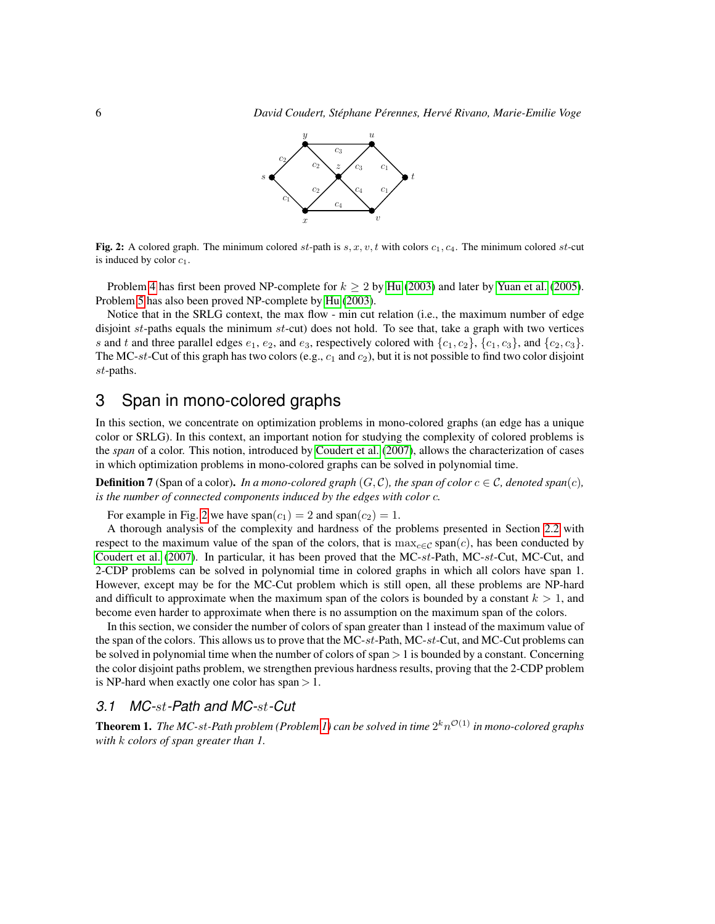<span id="page-5-1"></span>

Fig. 2: A colored graph. The minimum colored st-path is  $s, x, v, t$  with colors  $c_1, c_4$ . The minimum colored st-cut is induced by color  $c_1$ .

Problem [4](#page-4-0) has first been proved NP-complete for  $k \ge 2$  by [Hu](#page-22-0) [\(2003\)](#page-22-0) and later by [Yuan et al.](#page-24-0) [\(2005\)](#page-24-0). Problem [5](#page-4-1) has also been proved NP-complete by [Hu](#page-22-0) [\(2003\)](#page-22-0).

Notice that in the SRLG context, the max flow - min cut relation (i.e., the maximum number of edge disjoint st-paths equals the minimum st-cut) does not hold. To see that, take a graph with two vertices s and t and three parallel edges  $e_1$ ,  $e_2$ , and  $e_3$ , respectively colored with  $\{c_1, c_2\}$ ,  $\{c_1, c_3\}$ , and  $\{c_2, c_3\}$ . The MC-st-Cut of this graph has two colors (e.g.,  $c_1$  and  $c_2$ ), but it is not possible to find two color disjoint st-paths.

# <span id="page-5-0"></span>3 Span in mono-colored graphs

In this section, we concentrate on optimization problems in mono-colored graphs (an edge has a unique color or SRLG). In this context, an important notion for studying the complexity of colored problems is the *span* of a color. This notion, introduced by [Coudert et al.](#page-22-4) [\(2007\)](#page-22-4), allows the characterization of cases in which optimization problems in mono-colored graphs can be solved in polynomial time.

**Definition 7** (Span of a color). *In a mono-colored graph*  $(G, C)$ *, the span of color*  $c \in C$ *, denoted span(c)*, *is the number of connected components induced by the edges with color* c*.*

For example in Fig. [2](#page-5-1) we have  $\text{span}(c_1) = 2$  and  $\text{span}(c_2) = 1$ .

A thorough analysis of the complexity and hardness of the problems presented in Section [2.2](#page-3-1) with respect to the maximum value of the span of the colors, that is  $\max_{c \in C}$  span(c), has been conducted by [Coudert et al.](#page-22-4) [\(2007\)](#page-22-4). In particular, it has been proved that the MC-st-Path, MC-st-Cut, MC-Cut, and 2-CDP problems can be solved in polynomial time in colored graphs in which all colors have span 1. However, except may be for the MC-Cut problem which is still open, all these problems are NP-hard and difficult to approximate when the maximum span of the colors is bounded by a constant  $k > 1$ , and become even harder to approximate when there is no assumption on the maximum span of the colors.

In this section, we consider the number of colors of span greater than 1 instead of the maximum value of the span of the colors. This allows us to prove that the MC-st-Path, MC-st-Cut, and MC-Cut problems can be solved in polynomial time when the number of colors of span  $> 1$  is bounded by a constant. Concerning the color disjoint paths problem, we strengthen previous hardness results, proving that the 2-CDP problem is NP-hard when exactly one color has span  $> 1$ .

#### *3.1 MC-*st*-Path and MC-*st*-Cut*

<span id="page-5-2"></span>**Theorem 1.** The MC-st-Path problem (Problem [1\)](#page-3-2) can be solved in time  $2^k n^{\mathcal{O}(1)}$  in mono-colored graphs *with* k *colors of span greater than 1.*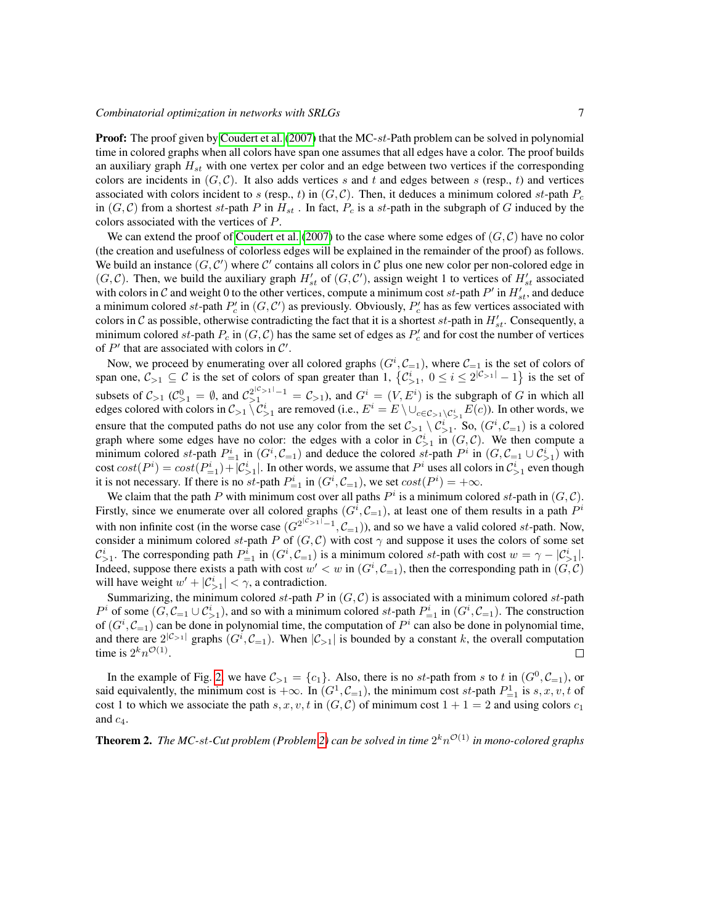#### *Combinatorial optimization in networks with SRLGs*  $\frac{7}{2}$

**Proof:** The proof given by [Coudert et al.](#page-22-4) [\(2007\)](#page-22-4) that the MC-st-Path problem can be solved in polynomial time in colored graphs when all colors have span one assumes that all edges have a color. The proof builds an auxiliary graph  $H_{st}$  with one vertex per color and an edge between two vertices if the corresponding colors are incidents in  $(G, \mathcal{C})$ . It also adds vertices s and t and edges between s (resp., t) and vertices associated with colors incident to s (resp., t) in  $(G, \mathcal{C})$ . Then, it deduces a minimum colored st-path  $P_c$ in  $(G, C)$  from a shortest st-path P in  $H_{st}$ . In fact,  $P_c$  is a st-path in the subgraph of G induced by the colors associated with the vertices of P.

We can extend the proof of [Coudert et al.](#page-22-4) [\(2007\)](#page-22-4) to the case where some edges of  $(G, C)$  have no color (the creation and usefulness of colorless edges will be explained in the remainder of the proof) as follows. We build an instance  $(G, \mathcal{C}')$  where  $\mathcal{C}'$  contains all colors in  $\mathcal{C}$  plus one new color per non-colored edge in  $(G, C)$ . Then, we build the auxiliary graph  $H'_{st}$  of  $(G, C')$ , assign weight 1 to vertices of  $H'_{st}$  associated with colors in C and weight 0 to the other vertices, compute a minimum cost  $st$ -path  $P'$  in  $H'_{st}$ , and deduce a minimum colored st-path  $P'_c$  in  $(G, \mathcal{C}')$  as previously. Obviously,  $P'_c$  has as few vertices associated with colors in C as possible, otherwise contradicting the fact that it is a shortest  $st$ -path in  $H'_{st}$ . Consequently, a minimum colored st-path  $P_c$  in  $(G, C)$  has the same set of edges as  $P'_c$  and for cost the number of vertices of  $P'$  that are associated with colors in  $C'$ .

Now, we proceed by enumerating over all colored graphs  $(G^i, \mathcal{C}_{i-1})$ , where  $\mathcal{C}_{i-1}$  is the set of colors of span one,  $C_{>1} \subseteq C$  is the set of colors of span greater than 1,  $\{C_{>1}^i, 0 \le i \le 2^{|C_{>1}|} - 1\}$  is the set of subsets of  $C_{>1}$  ( $C_{>1}^0 = \emptyset$ , and  $C_{>1}^{2|C_{>1}|-1} = C_{>1}$ ), and  $G^i = (V, E^i)$  is the subgraph of G in which all edges colored with colors in  $C_{>1} \setminus C_{>1}^i$  are removed (i.e.,  $E^i = E \setminus \cup_{c \in C_{>1} \setminus C_{>1}^i} E(c)$ ). In other words, we ensure that the computed paths do not use any color from the set  $C_{>1} \setminus C_{>1}^i$ . So,  $(G^i, C_{=1})$  is a colored graph where some edges have no color: the edges with a color in  $\mathcal{C}_{>1}^i$  in  $(G, \mathcal{C})$ . We then compute a minimum colored st-path  $P_{=1}^i$  in  $(G^i, \mathcal{C}_{=1})$  and deduce the colored st-path  $P^i$  in  $(G, \mathcal{C}_{=1} \cup \mathcal{C}_{>1}^i)$  with cost  $cost(P^i) = cost(P^i_{=1}) + |C^i_{>1}|$ . In other words, we assume that  $P^i$  uses all colors in  $C^i_{>1}$  even though it is not necessary. If there is no st-path  $P_{=1}^i$  in  $(G^i, C_{=1})$ , we set  $cost(P^i) = +\infty$ .

We claim that the path P with minimum cost over all paths  $P^i$  is a minimum colored st-path in  $(G, C)$ . Firstly, since we enumerate over all colored graphs  $(G^i, C_{=1})$ , at least one of them results in a path  $P^i$ with non infinite cost (in the worse case  $(G^{2^{lC>1-l-1}}, C_{=1})$ ), and so we have a valid colored st-path. Now, consider a minimum colored st-path P of  $(G, \mathcal{C})$  with cost  $\gamma$  and suppose it uses the colors of some set  $\mathcal{C}_{>1}^i$ . The corresponding path  $P_{=1}^i$  in  $(G^i, \mathcal{C}_{=1})$  is a minimum colored st-path with cost  $w = \gamma - |\mathcal{C}_{>1}^i|$ . Indeed, suppose there exists a path with cost  $w' < w$  in  $(G^i, C_{i=1})$ , then the corresponding path in  $(G, C)$ will have weight  $w' + |\mathcal{C}_{>1}^i| < \gamma$ , a contradiction.

Summarizing, the minimum colored st-path P in  $(G, C)$  is associated with a minimum colored st-path  $P^i$  of some  $(G, \mathcal{C}_{i-1} \cup \mathcal{C}_{i}^i)$ , and so with a minimum colored st-path  $P_{i-1}^i$  in  $(G^i, \mathcal{C}_{i-1})$ . The construction of  $(G^i, \mathcal{C}_{i=1})$  can be done in polynomial time, the computation of  $P^i$  can also be done in polynomial time, and there are  $2^{|\mathcal{C}_{>1}|}$  graphs  $(G^i, \mathcal{C}_{=1})$ . When  $|\mathcal{C}_{>1}|$  is bounded by a constant k, the overall computation time is  $2^k n^{\mathcal{O}(1)}$ .  $\Box$ 

In the example of Fig. [2,](#page-5-1) we have  $\mathcal{C}_{>1} = \{c_1\}$ . Also, there is no st-path from s to t in  $(G^0, \mathcal{C}_{=1})$ , or said equivalently, the minimum cost is  $+\infty$ . In  $(G^1, \mathcal{C}_{=1})$ , the minimum cost st-path  $P_{=1}^1$  is s, x, v, t of cost 1 to which we associate the path s, x, v, t in  $(G, \mathcal{C})$  of minimum cost  $1 + 1 = 2$  and using colors  $c_1$ and  $c_4$ .

<span id="page-6-0"></span>**Theorem 2.** The MC-st-Cut problem (Problem [2\)](#page-4-2) can be solved in time  $2^k n^{\mathcal{O}(1)}$  in mono-colored graphs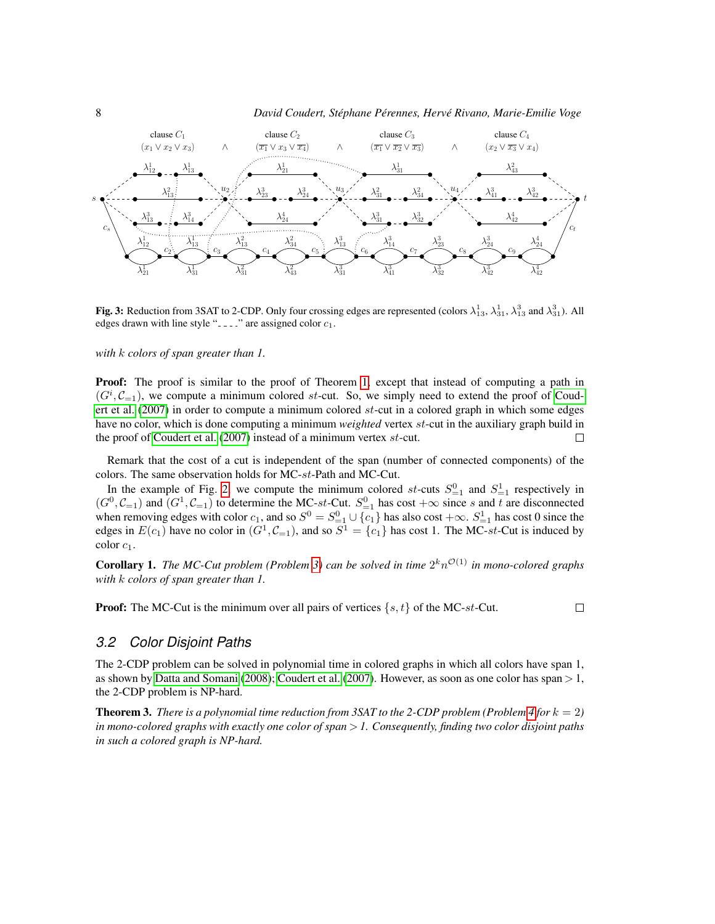

<span id="page-7-0"></span>**Fig. 3:** Reduction from 3SAT to 2-CDP. Only four crossing edges are represented (colors  $\lambda_{13}^1$ ,  $\lambda_{31}^3$ ,  $\lambda_{33}^3$  and  $\lambda_{31}^3$ ). All edges drawn with line style " $---$ " are assigned color  $c_1$ .

*with* k *colors of span greater than 1.*

**Proof:** The proof is similar to the proof of Theorem [1,](#page-5-2) except that instead of computing a path in  $(G^i, \mathcal{C}_{i=1})$ , we compute a minimum colored st-cut. So, we simply need to extend the proof of [Coud](#page-22-4)[ert et al.](#page-22-4) [\(2007\)](#page-22-4) in order to compute a minimum colored st-cut in a colored graph in which some edges have no color, which is done computing a minimum *weighted* vertex st-cut in the auxiliary graph build in the proof of [Coudert et al.](#page-22-4) [\(2007\)](#page-22-4) instead of a minimum vertex st-cut.  $\Box$ 

Remark that the cost of a cut is independent of the span (number of connected components) of the colors. The same observation holds for MC-st-Path and MC-Cut.

In the example of Fig. [2,](#page-5-1) we compute the minimum colored st-cuts  $S_{=1}^0$  and  $S_{=1}^1$  respectively in  $(G^0, \mathcal{C}_{=1})$  and  $(G^1, \mathcal{C}_{=1})$  to determine the MC-st-Cut.  $S^0_{=1}$  has cost  $+\infty$  since s and t are disconnected when removing edges with color  $c_1$ , and so  $S^0 = S_{-1}^0 \cup \{c_1\}$  has also cost  $+\infty$ .  $S_{-1}^1$  has cost 0 since the edges in  $E(c_1)$  have no color in  $(G^1, \mathcal{C}_{=1})$ , and so  $S^1 = \{c_1\}$  has cost 1. The MC-st-Cut is induced by color  $c_1$ .

**Corollary 1.** The MC-Cut problem (Problem [3\)](#page-4-3) can be solved in time  $2^k n^{\mathcal{O}(1)}$  in mono-colored graphs *with* k *colors of span greater than 1.*

**Proof:** The MC-Cut is the minimum over all pairs of vertices  $\{s, t\}$  of the MC-st-Cut.

 $\Box$ 

#### *3.2 Color Disjoint Paths*

The 2-CDP problem can be solved in polynomial time in colored graphs in which all colors have span 1, as shown by [Datta and Somani](#page-22-7) [\(2008\)](#page-22-7); [Coudert et al.](#page-22-4) [\(2007\)](#page-22-4). However, as soon as one color has span > 1, the 2-CDP problem is NP-hard.

<span id="page-7-1"></span>**Theorem 3.** *There is a polynomial time reduction from 3SAT to the 2-CDP problem (Problem [4](#page-4-0) for*  $k = 2$ ) *in mono-colored graphs with exactly one color of span* > *1. Consequently, finding two color disjoint paths in such a colored graph is NP-hard.*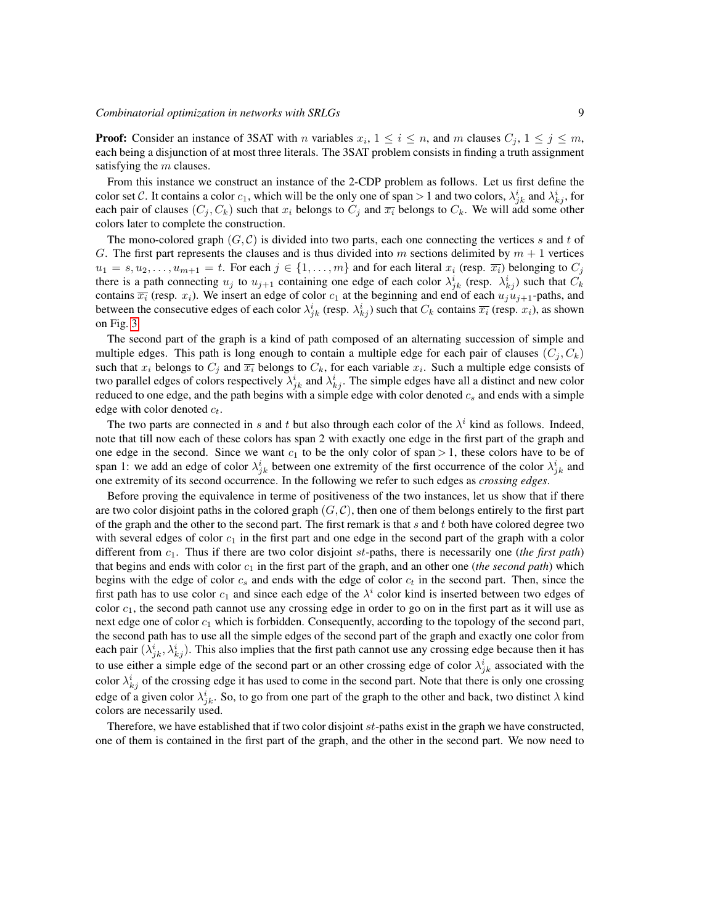**Proof:** Consider an instance of 3SAT with *n* variables  $x_i$ ,  $1 \le i \le n$ , and *m* clauses  $C_j$ ,  $1 \le j \le m$ , each being a disjunction of at most three literals. The 3SAT problem consists in finding a truth assignment satisfying the  $m$  clauses.

From this instance we construct an instance of the 2-CDP problem as follows. Let us first define the color set C. It contains a color  $c_1$ , which will be the only one of span > 1 and two colors,  $\lambda_{jk}^i$  and  $\lambda_{kj}^i$ , for each pair of clauses  $(C_j, C_k)$  such that  $x_i$  belongs to  $C_j$  and  $\overline{x_i}$  belongs to  $C_k$ . We will add some other colors later to complete the construction.

The mono-colored graph  $(G, \mathcal{C})$  is divided into two parts, each one connecting the vertices s and t of G. The first part represents the clauses and is thus divided into m sections delimited by  $m + 1$  vertices  $u_1 = s, u_2, \ldots, u_{m+1} = t$ . For each  $j \in \{1, \ldots, m\}$  and for each literal  $x_i$  (resp.  $\overline{x_i}$ ) belonging to  $C_j$ there is a path connecting  $u_j$  to  $u_{j+1}$  containing one edge of each color  $\lambda_{jk}^i$  (resp.  $\lambda_{kj}^i$ ) such that  $C_k$ contains  $\overline{x_i}$  (resp.  $x_i$ ). We insert an edge of color  $c_1$  at the beginning and end of each  $u_j\overline{u_{j+1}}$ -paths, and between the consecutive edges of each color  $\lambda_{jk}^i$  (resp.  $\lambda_{kj}^i$ ) such that  $C_k$  contains  $\overline{x_i}$  (resp.  $x_i$ ), as shown on Fig. [3.](#page-7-0)

The second part of the graph is a kind of path composed of an alternating succession of simple and multiple edges. This path is long enough to contain a multiple edge for each pair of clauses  $(C_i, C_k)$ such that  $x_i$  belongs to  $C_j$  and  $\overline{x_i}$  belongs to  $C_k$ , for each variable  $x_i$ . Such a multiple edge consists of two parallel edges of colors respectively  $\lambda_{jk}^i$  and  $\lambda_{kj}^i$ . The simple edges have all a distinct and new color reduced to one edge, and the path begins with a simple edge with color denoted  $c_s$  and ends with a simple edge with color denoted  $c_t$ .

The two parts are connected in s and t but also through each color of the  $\lambda^i$  kind as follows. Indeed, note that till now each of these colors has span 2 with exactly one edge in the first part of the graph and one edge in the second. Since we want  $c_1$  to be the only color of span > 1, these colors have to be of span 1: we add an edge of color  $\lambda_{jk}^i$  between one extremity of the first occurrence of the color  $\lambda_{jk}^i$  and one extremity of its second occurrence. In the following we refer to such edges as *crossing edges*.

Before proving the equivalence in terme of positiveness of the two instances, let us show that if there are two color disjoint paths in the colored graph  $(G, \mathcal{C})$ , then one of them belongs entirely to the first part of the graph and the other to the second part. The first remark is that  $s$  and  $t$  both have colored degree two with several edges of color  $c_1$  in the first part and one edge in the second part of the graph with a color different from  $c_1$ . Thus if there are two color disjoint  $st$ -paths, there is necessarily one (*the first path*) that begins and ends with color  $c_1$  in the first part of the graph, and an other one (*the second path*) which begins with the edge of color  $c_s$  and ends with the edge of color  $c_t$  in the second part. Then, since the first path has to use color  $c_1$  and since each edge of the  $\lambda^i$  color kind is inserted between two edges of color  $c_1$ , the second path cannot use any crossing edge in order to go on in the first part as it will use as next edge one of color  $c_1$  which is forbidden. Consequently, according to the topology of the second part, the second path has to use all the simple edges of the second part of the graph and exactly one color from each pair  $(\lambda^i_{jk}, \lambda^i_{kj})$ . This also implies that the first path cannot use any crossing edge because then it has to use either a simple edge of the second part or an other crossing edge of color  $\lambda_{jk}^i$  associated with the color  $\lambda_{kj}^i$  of the crossing edge it has used to come in the second part. Note that there is only one crossing edge of a given color  $\lambda_{jk}^i$ . So, to go from one part of the graph to the other and back, two distinct  $\lambda$  kind colors are necessarily used.

Therefore, we have established that if two color disjoint st-paths exist in the graph we have constructed, one of them is contained in the first part of the graph, and the other in the second part. We now need to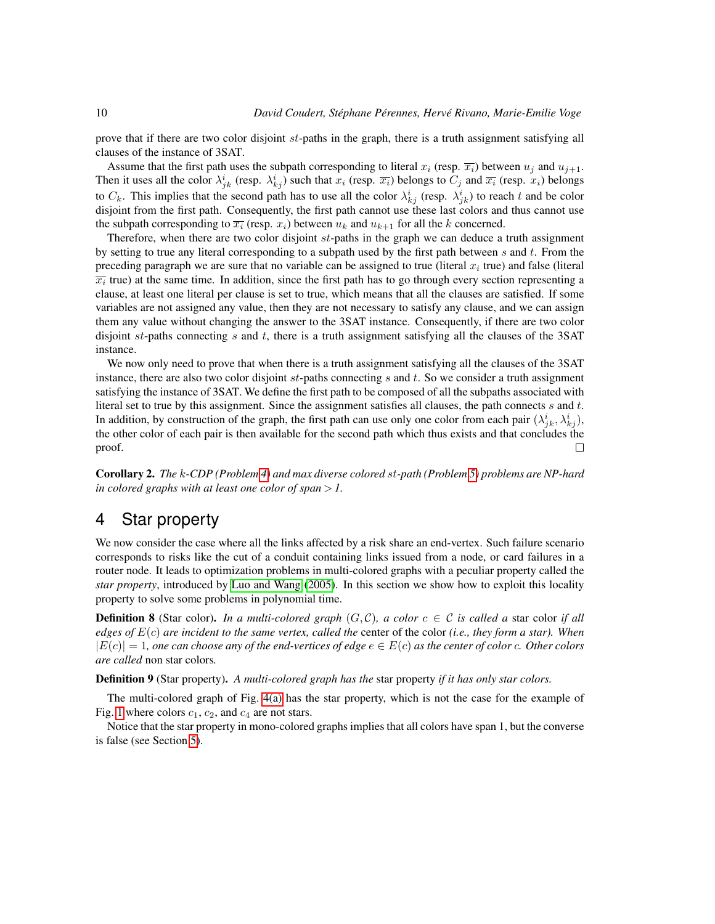prove that if there are two color disjoint  $st$ -paths in the graph, there is a truth assignment satisfying all clauses of the instance of 3SAT.

Assume that the first path uses the subpath corresponding to literal  $x_i$  (resp.  $\overline{x_i}$ ) between  $u_j$  and  $u_{j+1}$ . Then it uses all the color  $\lambda_{jk}^i$  (resp.  $\lambda_{kj}^i$ ) such that  $x_i$  (resp.  $\overline{x_i}$ ) belongs to  $C_j$  and  $\overline{x_i}$  (resp.  $x_i$ ) belongs to  $C_k$ . This implies that the second path has to use all the color  $\lambda_{kj}^i$  (resp.  $\lambda_{jk}^i$ ) to reach t and be color disjoint from the first path. Consequently, the first path cannot use these last colors and thus cannot use the subpath corresponding to  $\overline{x_i}$  (resp.  $x_i$ ) between  $u_k$  and  $u_{k+1}$  for all the k concerned.

Therefore, when there are two color disjoint  $st$ -paths in the graph we can deduce a truth assignment by setting to true any literal corresponding to a subpath used by the first path between s and t. From the preceding paragraph we are sure that no variable can be assigned to true (literal  $x_i$  true) and false (literal  $\overline{x_i}$  true) at the same time. In addition, since the first path has to go through every section representing a clause, at least one literal per clause is set to true, which means that all the clauses are satisfied. If some variables are not assigned any value, then they are not necessary to satisfy any clause, and we can assign them any value without changing the answer to the 3SAT instance. Consequently, if there are two color disjoint st-paths connecting s and t, there is a truth assignment satisfying all the clauses of the 3SAT instance.

We now only need to prove that when there is a truth assignment satisfying all the clauses of the 3SAT instance, there are also two color disjoint  $st$ -paths connecting  $s$  and  $t$ . So we consider a truth assignment satisfying the instance of 3SAT. We define the first path to be composed of all the subpaths associated with literal set to true by this assignment. Since the assignment satisfies all clauses, the path connects s and t. In addition, by construction of the graph, the first path can use only one color from each pair  $(\lambda^i_{jk}, \lambda^i_{kj})$ , the other color of each pair is then available for the second path which thus exists and that concludes the proof.  $\Box$ 

Corollary 2. *The* k*-CDP (Problem [4\)](#page-4-0) and max diverse colored* st*-path (Problem [5\)](#page-4-1) problems are NP-hard in colored graphs with at least one color of span* > *1.*

# <span id="page-9-0"></span>4 Star property

We now consider the case where all the links affected by a risk share an end-vertex. Such failure scenario corresponds to risks like the cut of a conduit containing links issued from a node, or card failures in a router node. It leads to optimization problems in multi-colored graphs with a peculiar property called the *star property*, introduced by [Luo and Wang](#page-23-6) [\(2005\)](#page-23-6). In this section we show how to exploit this locality property to solve some problems in polynomial time.

**Definition 8** (Star color). *In a multi-colored graph*  $(G, \mathcal{C})$ *, a color*  $c \in \mathcal{C}$  *is called a* star color *if all edges of* E(c) *are incident to the same vertex, called the* center of the color *(i.e., they form a star). When*  $|E(c)| = 1$ , one can choose any of the end-vertices of edge  $e \in E(c)$  as the center of color c. Other colors *are called* non star colors*.*

Definition 9 (Star property). *A multi-colored graph has the* star property *if it has only star colors.*

The multi-colored graph of Fig. [4\(a\)](#page-10-0) has the star property, which is not the case for the example of Fig. [1](#page-3-0) where colors  $c_1$ ,  $c_2$ , and  $c_4$  are not stars.

Notice that the star property in mono-colored graphs implies that all colors have span 1, but the converse is false (see Section [5\)](#page-11-0).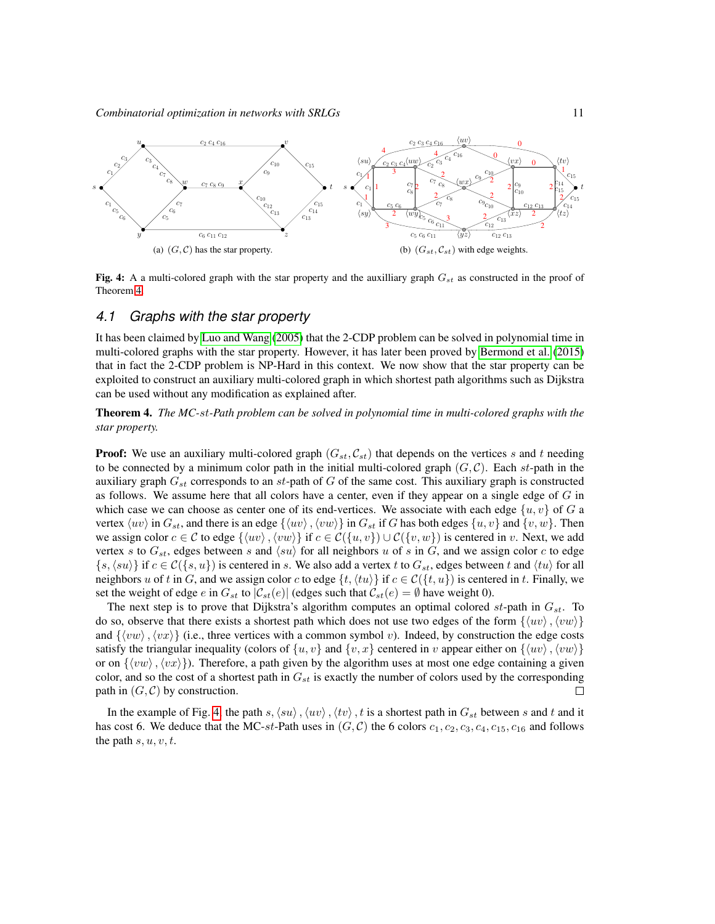<span id="page-10-0"></span>

<span id="page-10-2"></span>Fig. 4: A a multi-colored graph with the star property and the auxilliary graph  $G_{st}$  as constructed in the proof of Theorem [4.](#page-10-1)

#### *4.1 Graphs with the star property*

It has been claimed by [Luo and Wang](#page-23-6) [\(2005\)](#page-23-6) that the 2-CDP problem can be solved in polynomial time in multi-colored graphs with the star property. However, it has later been proved by [Bermond et al.](#page-21-0) [\(2015\)](#page-21-0) that in fact the 2-CDP problem is NP-Hard in this context. We now show that the star property can be exploited to construct an auxiliary multi-colored graph in which shortest path algorithms such as Dijkstra can be used without any modification as explained after.

<span id="page-10-1"></span>Theorem 4. *The MC-*st*-Path problem can be solved in polynomial time in multi-colored graphs with the star property.*

**Proof:** We use an auxiliary multi-colored graph  $(G<sub>st</sub>, C<sub>st</sub>)$  that depends on the vertices s and t needing to be connected by a minimum color path in the initial multi-colored graph  $(G, C)$ . Each st-path in the auxiliary graph  $G_{st}$  corresponds to an  $st$ -path of  $G$  of the same cost. This auxiliary graph is constructed as follows. We assume here that all colors have a center, even if they appear on a single edge of  $G$  in which case we can choose as center one of its end-vertices. We associate with each edge  $\{u, v\}$  of G a vertex  $\langle uv \rangle$  in  $G_{st}$ , and there is an edge  $\{\langle uv \rangle, \langle vw \rangle\}$  in  $G_{st}$  if G has both edges  $\{u, v\}$  and  $\{v, w\}$ . Then we assign color  $c \in \mathcal{C}$  to edge  $\{\langle uv \rangle, \langle vw \rangle\}$  if  $c \in \mathcal{C}(\{u, v\}) \cup \mathcal{C}(\{v, w\})$  is centered in v. Next, we add vertex s to  $G_{st}$ , edges between s and  $\langle su \rangle$  for all neighbors u of s in G, and we assign color c to edge  $\{s,\langle su\rangle\}$  if  $c \in \mathcal{C}(\{s,u\})$  is centered in s. We also add a vertex t to  $G_{st}$ , edges between t and  $\langle tu\rangle$  for all neighbors u of t in G, and we assign color c to edge  $\{t,\langle tu \rangle\}$  if  $c \in C(\{t, u\})$  is centered in t. Finally, we set the weight of edge e in  $G_{st}$  to  $|\mathcal{C}_{st}(e)|$  (edges such that  $\mathcal{C}_{st}(e) = \emptyset$  have weight 0).

The next step is to prove that Dijkstra's algorithm computes an optimal colored  $st$ -path in  $G_{st}$ . To do so, observe that there exists a shortest path which does not use two edges of the form  $\{\langle uv \rangle, \langle vw \rangle\}$ and  $\{\langle vw \rangle, \langle vx \rangle\}$  (i.e., three vertices with a common symbol v). Indeed, by construction the edge costs satisfy the triangular inequality (colors of  $\{u, v\}$  and  $\{v, x\}$  centered in v appear either on  $\{\langle uv \rangle, \langle vw \rangle\}$ or on  $\{\langle vw\rangle, \langle vx\rangle\}$ . Therefore, a path given by the algorithm uses at most one edge containing a given color, and so the cost of a shortest path in  $G_{st}$  is exactly the number of colors used by the corresponding path in  $(G, C)$  by construction.  $\Box$ 

In the example of Fig. [4,](#page-10-2) the path s,  $\langle su \rangle$ ,  $\langle uv \rangle$ ,  $\langle tv \rangle$ , t is a shortest path in  $G_{st}$  between s and t and it has cost 6. We deduce that the MC-st-Path uses in  $(G, C)$  the 6 colors  $c_1, c_2, c_3, c_4, c_{15}, c_{16}$  and follows the path  $s, u, v, t$ .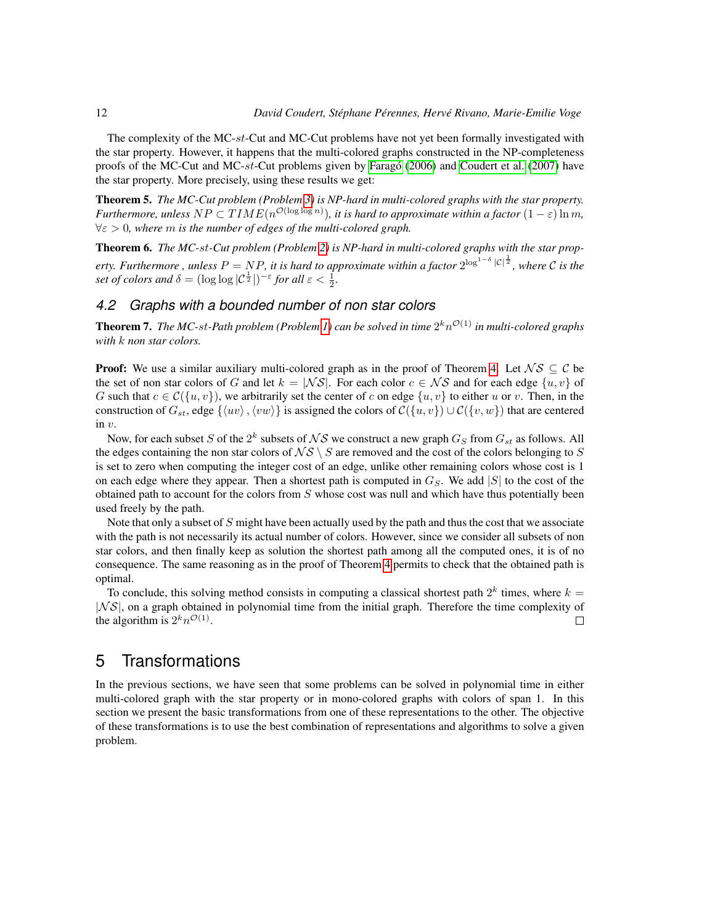The complexity of the MC-st-Cut and MC-Cut problems have not yet been formally investigated with the star property. However, it happens that the multi-colored graphs constructed in the NP-completeness proofs of the MC-Cut and MC-st-Cut problems given by [Farago](#page-22-5)  $(2006)$  and [Coudert et al.](#page-22-4)  $(2007)$  have the star property. More precisely, using these results we get:

Theorem 5. *The MC-Cut problem (Problem [3\)](#page-4-3) is NP-hard in multi-colored graphs with the star property. Furthermore, unless*  $NP \subset TIME(n^{\mathcal{O}(\log \log n)})$ , it is hard to approximate within a factor  $(1 - \varepsilon) \ln m$ , ∀ε > 0*, where* m *is the number of edges of the multi-colored graph.*

Theorem 6. *The MC-*st*-Cut problem (Problem [2\)](#page-4-2) is NP-hard in multi-colored graphs with the star property. Furthermore , unless P* = NP, it is hard to approximate within a factor 2<sup>log1−8</sup> |C|<sup>1</sup>2, where C is the *set of colors and*  $\delta = (\log \log |\mathcal{C}^{\frac{1}{2}}|)^{-\varepsilon}$  *for all*  $\varepsilon < \frac{1}{2}$ *.* 

## *4.2 Graphs with a bounded number of non star colors*

<span id="page-11-1"></span>**Theorem 7.** The MC-st-Path problem (Problem [1\)](#page-3-2) can be solved in time  $2^k n^{\mathcal{O}(1)}$  in multi-colored graphs *with* k *non star colors.*

**Proof:** We use a similar auxiliary multi-colored graph as in the proof of Theorem [4.](#page-10-1) Let  $\mathcal{NS} \subseteq \mathcal{C}$  be the set of non star colors of G and let  $k = |\mathcal{NS}|$ . For each color  $c \in \mathcal{NS}$  and for each edge  $\{u, v\}$  of G such that  $c \in \mathcal{C}(\{u, v\})$ , we arbitrarily set the center of c on edge  $\{u, v\}$  to either u or v. Then, in the construction of  $G_{st}$ , edge  $\{\langle uv \rangle,\langle vw \rangle\}$  is assigned the colors of  $C(\{u, v\}) \cup C(\{v, w\})$  that are centered in v.

Now, for each subset  $S$  of the  $2^k$  subsets of  ${\cal NS}$  we construct a new graph  $G_S$  from  $G_{st}$  as follows. All the edges containing the non star colors of  $\mathcal{NS} \setminus \mathcal{S}$  are removed and the cost of the colors belonging to S is set to zero when computing the integer cost of an edge, unlike other remaining colors whose cost is 1 on each edge where they appear. Then a shortest path is computed in  $G<sub>S</sub>$ . We add |S| to the cost of the obtained path to account for the colors from  $S$  whose cost was null and which have thus potentially been used freely by the path.

Note that only a subset of  $S$  might have been actually used by the path and thus the cost that we associate with the path is not necessarily its actual number of colors. However, since we consider all subsets of non star colors, and then finally keep as solution the shortest path among all the computed ones, it is of no consequence. The same reasoning as in the proof of Theorem [4](#page-10-1) permits to check that the obtained path is optimal.

To conclude, this solving method consists in computing a classical shortest path  $2^k$  times, where  $k =$  $|NS|$ , on a graph obtained in polynomial time from the initial graph. Therefore the time complexity of the algorithm is  $2^k n^{\mathcal{O}(1)}$ .  $\Box$ 

## <span id="page-11-0"></span>5 Transformations

In the previous sections, we have seen that some problems can be solved in polynomial time in either multi-colored graph with the star property or in mono-colored graphs with colors of span 1. In this section we present the basic transformations from one of these representations to the other. The objective of these transformations is to use the best combination of representations and algorithms to solve a given problem.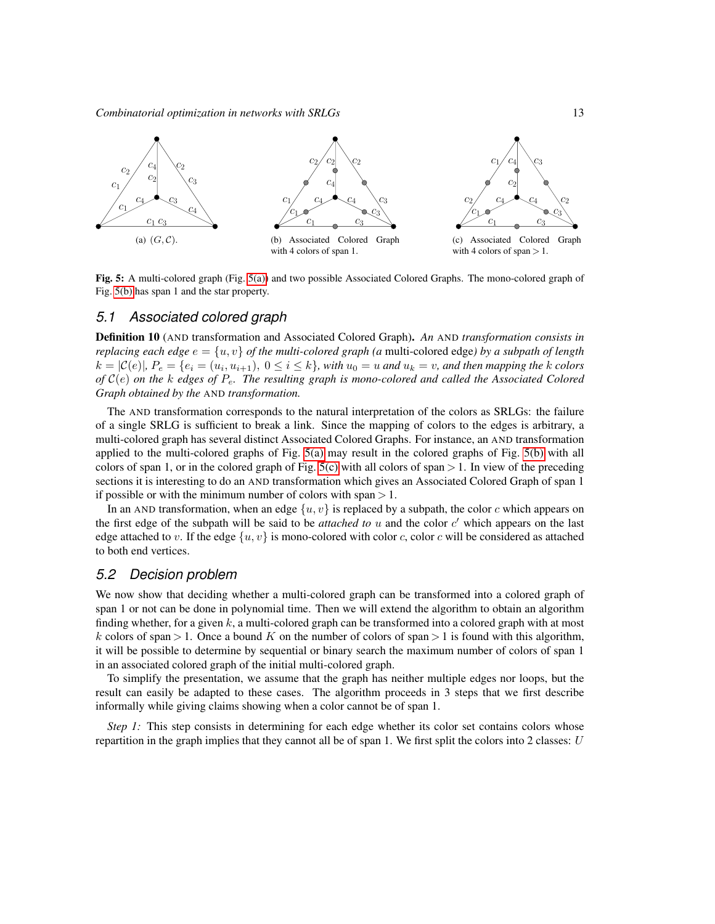*Combinatorial optimization in networks with SRLGs* 13

<span id="page-12-0"></span>

<span id="page-12-2"></span><span id="page-12-1"></span>Fig. 5: A multi-colored graph (Fig. [5\(a\)\)](#page-12-0) and two possible Associated Colored Graphs. The mono-colored graph of Fig. [5\(b\)](#page-12-1) has span 1 and the star property.

## *5.1 Associated colored graph*

Definition 10 (AND transformation and Associated Colored Graph). *An* AND *transformation consists in replacing each edge*  $e = \{u, v\}$  *of the multi-colored graph (a multi-colored edge) by a subpath of length*  $k = |\mathcal{C}(e)|$ ,  $P_e = \{e_i = (u_i, u_{i+1}), 0 \leq i \leq k\}$ , with  $u_0 = u$  and  $u_k = v$ , and then mapping the k colors *of* C(e) *on the* k *edges of* Pe*. The resulting graph is mono-colored and called the Associated Colored Graph obtained by the* AND *transformation.*

The AND transformation corresponds to the natural interpretation of the colors as SRLGs: the failure of a single SRLG is sufficient to break a link. Since the mapping of colors to the edges is arbitrary, a multi-colored graph has several distinct Associated Colored Graphs. For instance, an AND transformation applied to the multi-colored graphs of Fig. [5\(a\)](#page-12-0) may result in the colored graphs of Fig. [5\(b\)](#page-12-1) with all colors of span 1, or in the colored graph of Fig. [5\(c\)](#page-12-2) with all colors of span  $> 1$ . In view of the preceding sections it is interesting to do an AND transformation which gives an Associated Colored Graph of span 1 if possible or with the minimum number of colors with span  $> 1$ .

In an AND transformation, when an edge  $\{u, v\}$  is replaced by a subpath, the color c which appears on the first edge of the subpath will be said to be *attached to*  $u$  and the color  $c'$  which appears on the last edge attached to v. If the edge  $\{u, v\}$  is mono-colored with color c, color c will be considered as attached to both end vertices.

#### *5.2 Decision problem*

We now show that deciding whether a multi-colored graph can be transformed into a colored graph of span 1 or not can be done in polynomial time. Then we will extend the algorithm to obtain an algorithm finding whether, for a given  $k$ , a multi-colored graph can be transformed into a colored graph with at most k colors of span > 1. Once a bound K on the number of colors of span > 1 is found with this algorithm, it will be possible to determine by sequential or binary search the maximum number of colors of span 1 in an associated colored graph of the initial multi-colored graph.

To simplify the presentation, we assume that the graph has neither multiple edges nor loops, but the result can easily be adapted to these cases. The algorithm proceeds in 3 steps that we first describe informally while giving claims showing when a color cannot be of span 1.

*Step 1:* This step consists in determining for each edge whether its color set contains colors whose repartition in the graph implies that they cannot all be of span 1. We first split the colors into 2 classes:  $U$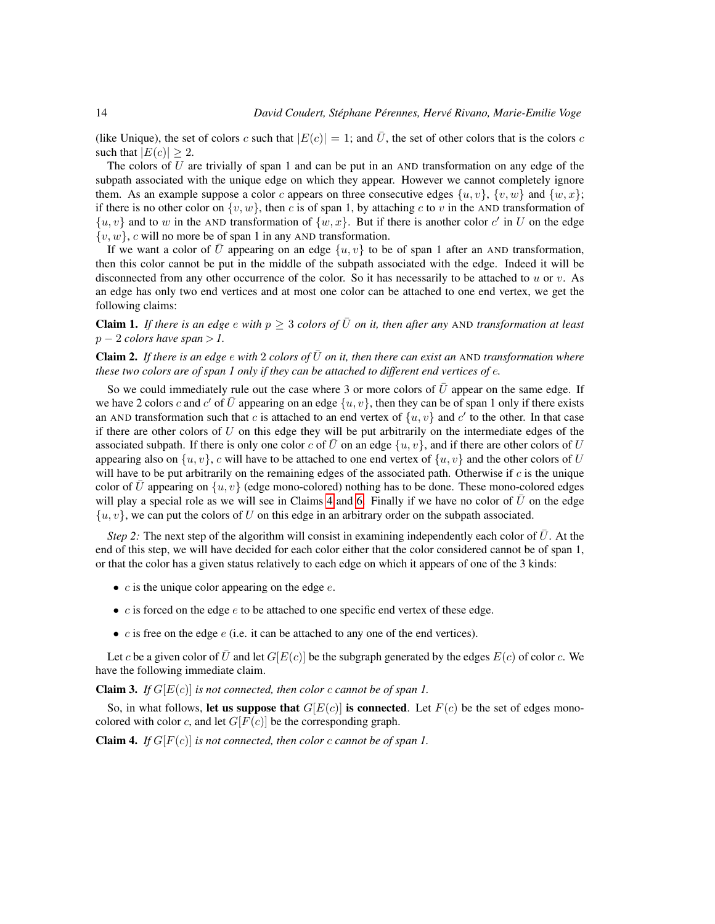(like Unique), the set of colors c such that  $|E(c)| = 1$ ; and  $\bar{U}$ , the set of other colors that is the colors c such that  $|E(c)| \geq 2$ .

The colors of U are trivially of span 1 and can be put in an AND transformation on any edge of the subpath associated with the unique edge on which they appear. However we cannot completely ignore them. As an example suppose a color c appears on three consecutive edges  $\{u, v\}$ ,  $\{v, w\}$  and  $\{w, x\}$ ; if there is no other color on  $\{v, w\}$ , then c is of span 1, by attaching c to v in the AND transformation of  $\{u, v\}$  and to w in the AND transformation of  $\{w, x\}$ . But if there is another color c' in U on the edge  $\{v, w\}$ , c will no more be of span 1 in any AND transformation.

If we want a color of  $\overline{U}$  appearing on an edge  $\{u, v\}$  to be of span 1 after an AND transformation, then this color cannot be put in the middle of the subpath associated with the edge. Indeed it will be disconnected from any other occurrence of the color. So it has necessarily to be attached to  $u$  or  $v$ . As an edge has only two end vertices and at most one color can be attached to one end vertex, we get the following claims:

<span id="page-13-3"></span>**Claim 1.** *If there is an edge e with*  $p \geq 3$  *colors of*  $\overline{U}$  *on it, then after any* AND *transformation at least*  $p - 2$  *colors have span* > 1.

<span id="page-13-2"></span>**Claim 2.** If there is an edge  $e$  with 2 colors of  $\bar{U}$  on it, then there can exist an AND transformation where *these two colors are of span 1 only if they can be attached to different end vertices of* e*.*

So we could immediately rule out the case where 3 or more colors of  $\bar{U}$  appear on the same edge. If we have 2 colors c and c' of  $\bar{U}$  appearing on an edge  $\{u, v\}$ , then they can be of span 1 only if there exists an AND transformation such that c is attached to an end vertex of  $\{u, v\}$  and c' to the other. In that case if there are other colors of  $U$  on this edge they will be put arbitrarily on the intermediate edges of the associated subpath. If there is only one color c of  $\overline{U}$  on an edge  $\{u, v\}$ , and if there are other colors of U appearing also on  $\{u, v\}$ , c will have to be attached to one end vertex of  $\{u, v\}$  and the other colors of U will have to be put arbitrarily on the remaining edges of the associated path. Otherwise if  $c$  is the unique color of  $\bar{U}$  appearing on  $\{u, v\}$  (edge mono-colored) nothing has to be done. These mono-colored edges will play a special role as we will see in Claims [4](#page-13-0) and [6.](#page-14-0) Finally if we have no color of  $\bar{U}$  on the edge  $\{u, v\}$ , we can put the colors of U on this edge in an arbitrary order on the subpath associated.

*Step 2:* The next step of the algorithm will consist in examining independently each color of  $\bar{U}$ . At the end of this step, we will have decided for each color either that the color considered cannot be of span 1, or that the color has a given status relatively to each edge on which it appears of one of the 3 kinds:

- $c$  is the unique color appearing on the edge  $e$ .
- $\bullet$  *c* is forced on the edge *e* to be attached to one specific end vertex of these edge.
- $c$  is free on the edge  $e$  (i.e. it can be attached to any one of the end vertices).

Let c be a given color of  $\bar{U}$  and let  $G[E(c)]$  be the subgraph generated by the edges  $E(c)$  of color c. We have the following immediate claim.

<span id="page-13-1"></span>**Claim 3.** *If*  $G[E(c)]$  *is not connected, then color c cannot be of span 1.* 

So, in what follows, let us suppose that  $G[E(c)]$  is connected. Let  $F(c)$  be the set of edges monocolored with color c, and let  $G[F(c)]$  be the corresponding graph.

<span id="page-13-0"></span>**Claim 4.** *If*  $G[F(c)]$  *is not connected, then color c cannot be of span 1.*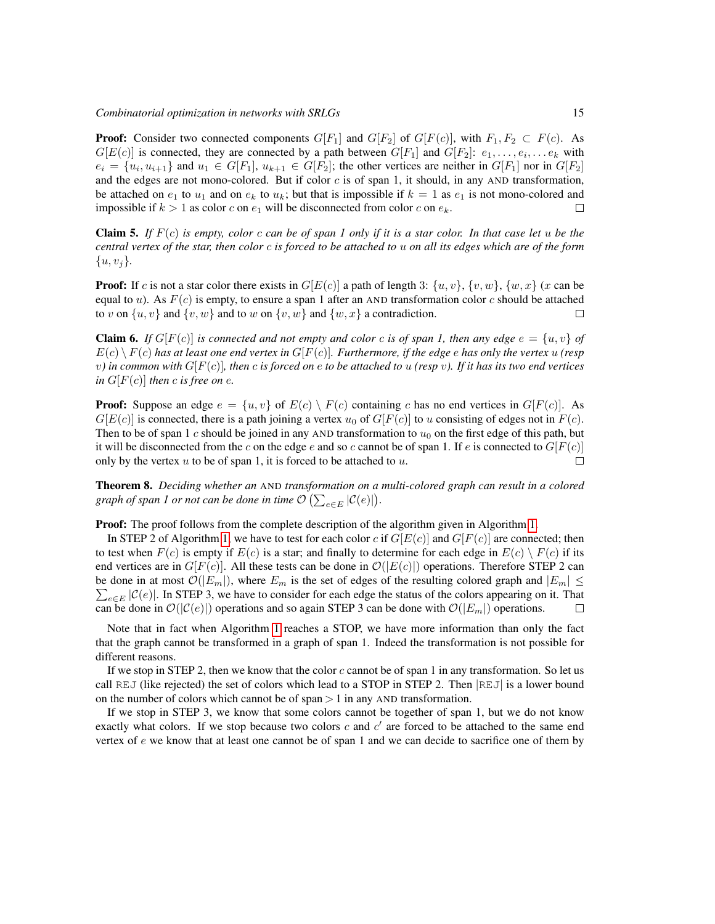*Combinatorial optimization in networks with SRLGs* 15

**Proof:** Consider two connected components  $G[F_1]$  and  $G[F_2]$  of  $G[F(c)]$ , with  $F_1, F_2 \subset F(c)$ . As  $G[E(c)]$  is connected, they are connected by a path between  $G[F_1]$  and  $G[F_2]$ :  $e_1, \ldots, e_i, \ldots e_k$  with  $e_i = \{u_i, u_{i+1}\}\$ and  $u_1 \in G[F_1], u_{k+1} \in G[F_2]$ ; the other vertices are neither in  $G[F_1]$  nor in  $G[F_2]$ and the edges are not mono-colored. But if color  $c$  is of span 1, it should, in any AND transformation, be attached on  $e_1$  to  $u_1$  and on  $e_k$  to  $u_k$ ; but that is impossible if  $k = 1$  as  $e_1$  is not mono-colored and impossible if  $k > 1$  as color c on  $e_1$  will be disconnected from color c on  $e_k$ .  $\Box$ 

<span id="page-14-1"></span>Claim 5. *If* F(c) *is empty, color* c *can be of span 1 only if it is a star color. In that case let* u *be the central vertex of the star, then color* c *is forced to be attached to* u *on all its edges which are of the form*  $\{u, v_i\}.$ 

**Proof:** If c is not a star color there exists in  $G[E(c)]$  a path of length 3:  $\{u, v\}$ ,  $\{v, w\}$ ,  $\{w, x\}$  (x can be equal to u). As  $F(c)$  is empty, to ensure a span 1 after an AND transformation color c should be attached to v on  $\{u, v\}$  and  $\{v, w\}$  and to w on  $\{v, w\}$  and  $\{w, x\}$  a contradiction.  $\Box$ 

<span id="page-14-0"></span>**Claim 6.** *If*  $G[F(c)]$  *is connected and not empty and color c is of span 1, then any edge*  $e = \{u, v\}$  *of*  $E(c) \setminus F(c)$  has at least one end vertex in  $G[F(c)]$ . Furthermore, if the edge e has only the vertex  $u$  (resp v*) in common with* G[F(c)]*, then* c *is forced on* e *to be attached to* u *(resp* v*). If it has its two end vertices in*  $G[F(c)]$  *then c is free on e.* 

**Proof:** Suppose an edge  $e = \{u, v\}$  of  $E(c) \setminus F(c)$  containing c has no end vertices in  $G[F(c)]$ . As  $G[E(c)]$  is connected, there is a path joining a vertex  $u_0$  of  $G[F(c)]$  to u consisting of edges not in  $F(c)$ . Then to be of span 1 c should be joined in any AND transformation to  $u_0$  on the first edge of this path, but it will be disconnected from the c on the edge e and so c cannot be of span 1. If e is connected to  $G[F(c)]$ only by the vertex  $u$  to be of span 1, it is forced to be attached to  $u$ .  $\Box$ 

Theorem 8. *Deciding whether an* AND *transformation on a multi-colored graph can result in a colored* graph of span 1 or not can be done in time  $\mathcal{O}\left( \sum_{e\in E} |\mathcal{C}(e)| \right)$ .

**Proof:** The proof follows from the complete description of the algorithm given in Algorithm [1.](#page-15-0)

In STEP 2 of Algorithm [1,](#page-15-0) we have to test for each color c if  $G[E(c)]$  and  $G[F(c)]$  are connected; then to test when  $F(c)$  is empty if  $E(c)$  is a star; and finally to determine for each edge in  $E(c) \setminus F(c)$  if its end vertices are in  $G[F(c)]$ . All these tests can be done in  $\mathcal{O}(|E(c)|)$  operations. Therefore STEP 2 can be done in at most  $\mathcal{O}(|E_m|)$ , where  $E_m$  is the set of edges of the resulting colored graph and  $|E_m| \leq$  $\sum_{e \in E} |\mathcal{C}(e)|$ . In STEP 3, we have to consider for each edge the status of the colors appearing on it. That can be done in  $\mathcal{O}(|\mathcal{C}(e)|)$  operations and so again STEP 3 can be done with  $\mathcal{O}(|E_m|)$  operations.  $\Box$ 

Note that in fact when Algorithm [1](#page-15-0) reaches a STOP, we have more information than only the fact that the graph cannot be transformed in a graph of span 1. Indeed the transformation is not possible for different reasons.

If we stop in STEP 2, then we know that the color c cannot be of span 1 in any transformation. So let us call REJ (like rejected) the set of colors which lead to a STOP in STEP 2. Then  $|REJ|$  is a lower bound on the number of colors which cannot be of span  $> 1$  in any AND transformation.

If we stop in STEP 3, we know that some colors cannot be together of span 1, but we do not know exactly what colors. If we stop because two colors  $c$  and  $c'$  are forced to be attached to the same end vertex of  $e$  we know that at least one cannot be of span 1 and we can decide to sacrifice one of them by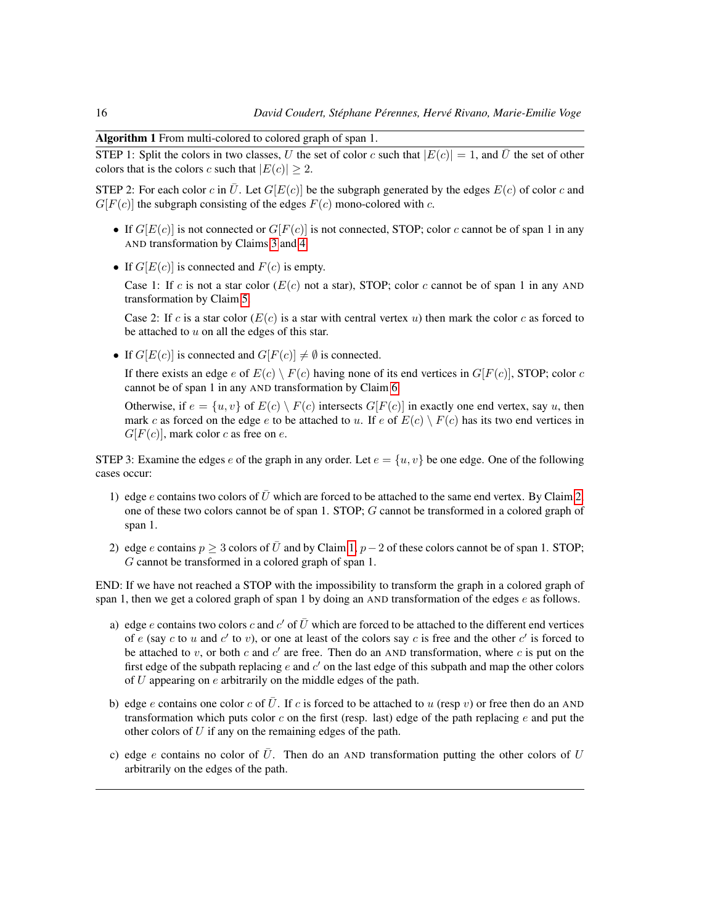Algorithm 1 From multi-colored to colored graph of span 1.

<span id="page-15-0"></span>STEP 1: Split the colors in two classes, U the set of color c such that  $|E(c)| = 1$ , and  $\overline{U}$  the set of other colors that is the colors c such that  $|E(c)| \geq 2$ .

STEP 2: For each color c in  $\overline{U}$ . Let  $G[E(c)]$  be the subgraph generated by the edges  $E(c)$  of color c and  $G[F(c)]$  the subgraph consisting of the edges  $F(c)$  mono-colored with c.

- If  $G[E(c)]$  is not connected or  $G[F(c)]$  is not connected, STOP; color c cannot be of span 1 in any AND transformation by Claims [3](#page-13-1) and [4.](#page-13-0)
- If  $G[E(c)]$  is connected and  $F(c)$  is empty.

Case 1: If c is not a star color ( $E(c)$  not a star), STOP; color c cannot be of span 1 in any AND transformation by Claim [5.](#page-14-1)

Case 2: If c is a star color  $(E(c)$  is a star with central vertex u) then mark the color c as forced to be attached to  $u$  on all the edges of this star.

• If  $G[E(c)]$  is connected and  $G[F(c)] \neq \emptyset$  is connected.

If there exists an edge e of  $E(c) \setminus F(c)$  having none of its end vertices in  $G[F(c)]$ , STOP; color c cannot be of span 1 in any AND transformation by Claim [6.](#page-14-0)

Otherwise, if  $e = \{u, v\}$  of  $E(c) \setminus F(c)$  intersects  $G[F(c)]$  in exactly one end vertex, say u, then mark c as forced on the edge e to be attached to u. If e of  $E(c) \setminus F(c)$  has its two end vertices in  $G[F(c)]$ , mark color c as free on e.

STEP 3: Examine the edges e of the graph in any order. Let  $e = \{u, v\}$  be one edge. One of the following cases occur:

- 1) edge e contains two colors of  $\bar{U}$  which are forced to be attached to the same end vertex. By Claim [2,](#page-13-2) one of these two colors cannot be of span 1. STOP; G cannot be transformed in a colored graph of span 1.
- 2) edge e contains  $p \ge 3$  colors of  $\overline{U}$  and by Claim [1,](#page-13-3)  $p-2$  of these colors cannot be of span 1. STOP; G cannot be transformed in a colored graph of span 1.

END: If we have not reached a STOP with the impossibility to transform the graph in a colored graph of span 1, then we get a colored graph of span 1 by doing an AND transformation of the edges  $e$  as follows.

- a) edge e contains two colors c and c' of  $\bar{U}$  which are forced to be attached to the different end vertices of e (say c to u and c' to v), or one at least of the colors say c is free and the other c' is forced to be attached to  $v$ , or both  $c$  and  $c'$  are free. Then do an AND transformation, where  $c$  is put on the first edge of the subpath replacing  $e$  and  $c'$  on the last edge of this subpath and map the other colors of  $U$  appearing on  $e$  arbitrarily on the middle edges of the path.
- b) edge e contains one color c of U. If c is forced to be attached to u (resp v) or free then do an AND transformation which puts color  $c$  on the first (resp. last) edge of the path replacing  $e$  and put the other colors of  $U$  if any on the remaining edges of the path.
- c) edge e contains no color of  $\overline{U}$ . Then do an AND transformation putting the other colors of U arbitrarily on the edges of the path.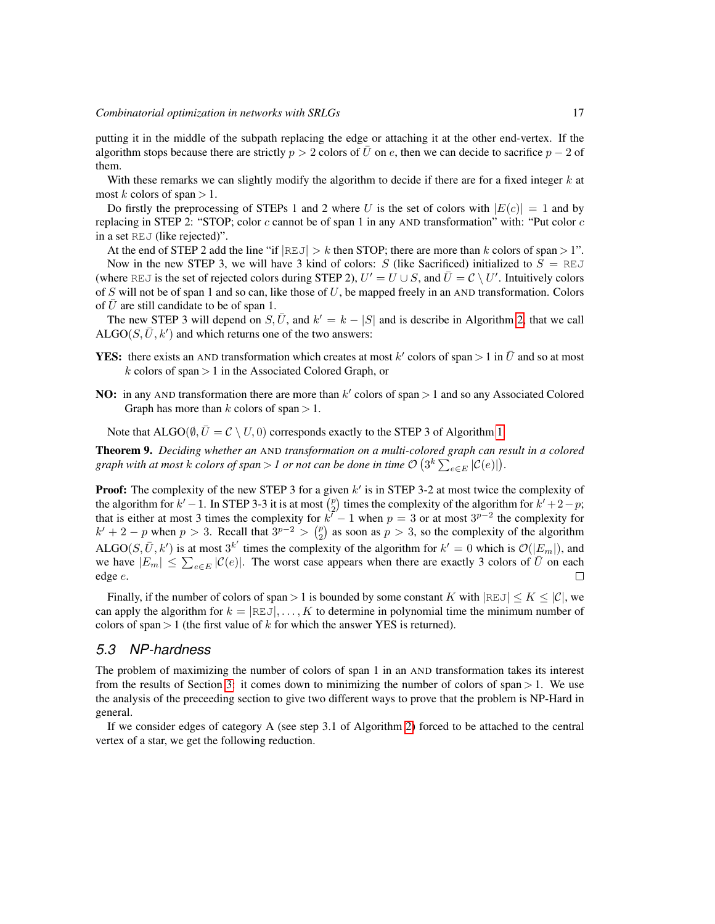putting it in the middle of the subpath replacing the edge or attaching it at the other end-vertex. If the algorithm stops because there are strictly  $p > 2$  colors of  $\overline{U}$  on e, then we can decide to sacrifice  $p - 2$  of them.

With these remarks we can slightly modify the algorithm to decide if there are for a fixed integer  $k$  at most k colors of span  $> 1$ .

Do firstly the preprocessing of STEPs 1 and 2 where U is the set of colors with  $|E(c)| = 1$  and by replacing in STEP 2: "STOP; color  $c$  cannot be of span 1 in any AND transformation" with: "Put color  $c$ in a set REJ (like rejected)".

At the end of STEP 2 add the line "if  $|REJ| > k$  then STOP; there are more than k colors of span > 1". Now in the new STEP 3, we will have 3 kind of colors: S (like Sacrificed) initialized to  $S = REJ$ (where REJ is the set of rejected colors during STEP 2),  $U' = U \cup S$ , and  $\overline{U} = C \setminus U'$ . Intuitively colors of S will not be of span 1 and so can, like those of U, be mapped freely in an AND transformation. Colors of  $\bar{U}$  are still candidate to be of span 1.

The new STEP 3 will depend on  $S, \bar{U}$ , and  $k' = k - |S|$  and is describe in Algorithm [2,](#page-17-0) that we call ALGO( $S, \overline{U}, k'$ ) and which returns one of the two answers:

- **YES:** there exists an AND transformation which creates at most k' colors of span > 1 in  $\bar{U}$  and so at most  $k$  colors of span  $> 1$  in the Associated Colored Graph, or
- **NO:** in any AND transformation there are more than  $k'$  colors of span  $> 1$  and so any Associated Colored Graph has more than k colors of span  $> 1$ .

Note that ALGO( $\emptyset$ ,  $\overline{U} = C \setminus U$ , 0) corresponds exactly to the STEP 3 of Algorithm [1.](#page-15-0)

Theorem 9. *Deciding whether an* AND *transformation on a multi-colored graph can result in a colored* graph with at most  $k$  colors of span  $>$  1 or not can be done in time  $\mathcal{O} \left( 3^k \sum_{e \in E} |\mathcal{C}(e)| \right)$ .

**Proof:** The complexity of the new STEP 3 for a given  $k'$  is in STEP 3-2 at most twice the complexity of the algorithm for  $k' - 1$ . In STEP 3-3 it is at most  $\binom{p}{2}$  times the complexity of the algorithm for  $k' + 2 - p$ ; that is either at most 3 times the complexity for  $k^{7} - 1$  when  $p = 3$  or at most  $3^{p-2}$  the complexity for  $k' + 2 - p$  when  $p > 3$ . Recall that  $3^{p-2} > {p \choose 2}$  as soon as  $p > 3$ , so the complexity of the algorithm ALGO(S,  $\bar{U}$ , k') is at most  $3^{k'}$  times the complexity of the algorithm for  $k' = 0$  which is  $\mathcal{O}(|E_m|)$ , and we have  $|E_m| \leq \sum_{e \in E} |\mathcal{C}(e)|$ . The worst case appears when there are exactly 3 colors of  $\bar{U}$  on each edge e.  $\Box$ 

Finally, if the number of colors of span > 1 is bounded by some constant K with  $|REJ| \leq K \leq |\mathcal{C}|$ , we can apply the algorithm for  $k = |REJ|, \ldots, K$  to determine in polynomial time the minimum number of colors of span  $> 1$  (the first value of k for which the answer YES is returned).

## *5.3 NP-hardness*

The problem of maximizing the number of colors of span 1 in an AND transformation takes its interest from the results of Section [3:](#page-5-0) it comes down to minimizing the number of colors of span  $> 1$ . We use the analysis of the preceeding section to give two different ways to prove that the problem is NP-Hard in general.

If we consider edges of category A (see step 3.1 of Algorithm [2\)](#page-17-0) forced to be attached to the central vertex of a star, we get the following reduction.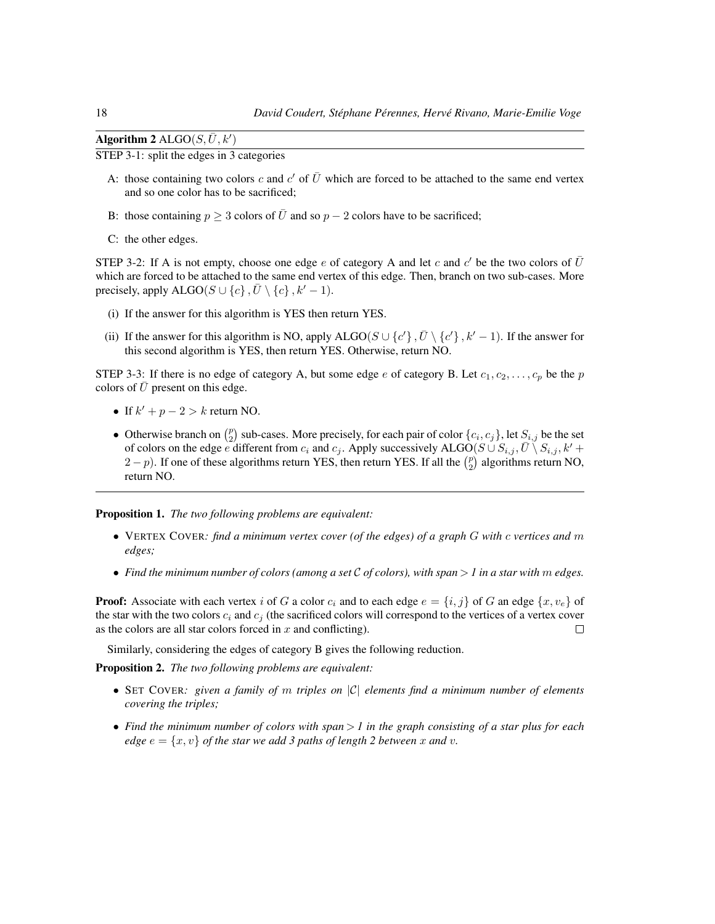| Algorithm 2 $\mathrm{ALGO}(S,\bar{U},k')$ |  |
|-------------------------------------------|--|
|-------------------------------------------|--|

<span id="page-17-0"></span>STEP 3-1: split the edges in 3 categories

- A: those containing two colors c and c' of  $\overline{U}$  which are forced to be attached to the same end vertex and so one color has to be sacrificed;
- B: those containing  $p \geq 3$  colors of  $\overline{U}$  and so  $p 2$  colors have to be sacrificed;
- C: the other edges.

STEP 3-2: If A is not empty, choose one edge e of category A and let c and c' be the two colors of  $\overline{U}$ which are forced to be attached to the same end vertex of this edge. Then, branch on two sub-cases. More precisely, apply ALGO( $S \cup \{c\}$ ,  $\overline{U} \setminus \{c\}$ ,  $k' - 1$ ).

- (i) If the answer for this algorithm is YES then return YES.
- (ii) If the answer for this algorithm is NO, apply ALGO( $S \cup \{c'\}, \overline{U} \setminus \{c'\}, k' 1$ ). If the answer for this second algorithm is YES, then return YES. Otherwise, return NO.

STEP 3-3: If there is no edge of category A, but some edge e of category B. Let  $c_1, c_2, \ldots, c_p$  be the p colors of  $U$  present on this edge.

- If  $k' + p 2 > k$  return NO.
- Otherwise branch on  $\binom{p}{2}$  sub-cases. More precisely, for each pair of color  $\{c_i, c_j\}$ , let  $S_{i,j}$  be the set of colors on the edge e different from  $c_i$  and  $c_j$ . Apply successively ALGO( $S \cup S_{i,j}, \bar{U} \setminus S_{i,j}, k' +$  $(2-p)$ . If one of these algorithms return YES, then return YES. If all the  $\binom{p}{2}$  algorithms return NO, return NO.

Proposition 1. *The two following problems are equivalent:*

- VERTEX COVER*: find a minimum vertex cover (of the edges) of a graph* G *with* c *vertices and* m *edges;*
- *Find the minimum number of colors (among a set* C *of colors), with span* > *1 in a star with* m *edges.*

**Proof:** Associate with each vertex i of G a color  $c_i$  and to each edge  $e = \{i, j\}$  of G an edge  $\{x, v_e\}$  of the star with the two colors  $c_i$  and  $c_j$  (the sacrificed colors will correspond to the vertices of a vertex cover as the colors are all star colors forced in  $x$  and conflicting).  $\Box$ 

Similarly, considering the edges of category B gives the following reduction.

Proposition 2. *The two following problems are equivalent:*

- SET COVER*: given a family of* m *triples on* |C| *elements find a minimum number of elements covering the triples;*
- *Find the minimum number of colors with span* > *1 in the graph consisting of a star plus for each edge*  $e = \{x, v\}$  *of the star we add 3 paths of length 2 between* x *and* v.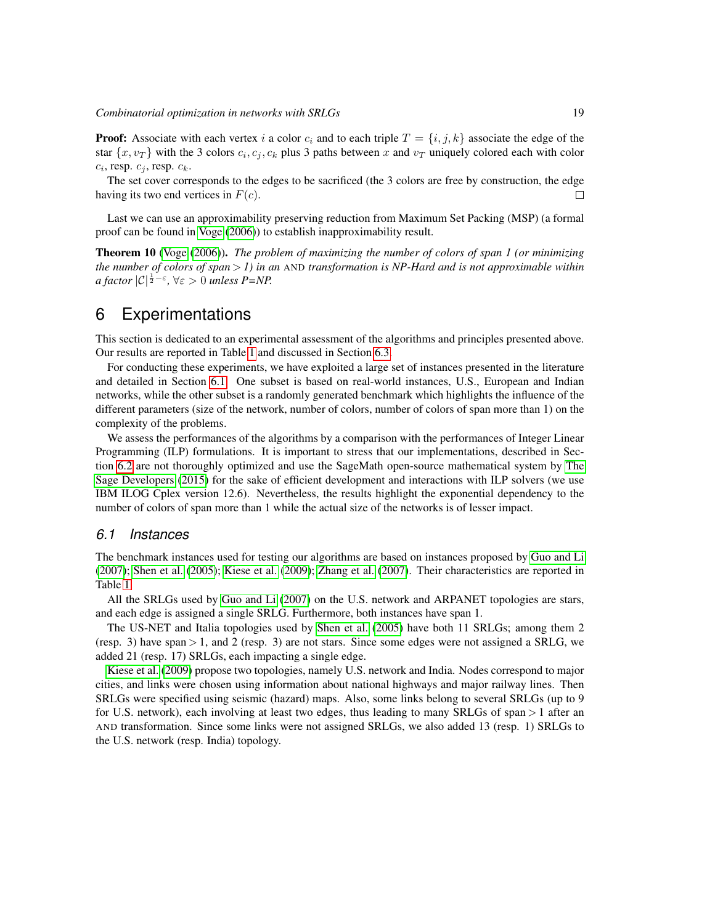**Proof:** Associate with each vertex i a color  $c_i$  and to each triple  $T = \{i, j, k\}$  associate the edge of the star  $\{x, v_T\}$  with the 3 colors  $c_i, c_j, c_k$  plus 3 paths between x and  $v_T$  uniquely colored each with color  $c_i$ , resp.  $c_j$ , resp.  $c_k$ .

The set cover corresponds to the edges to be sacrificed (the 3 colors are free by construction, the edge having its two end vertices in  $F(c)$ .  $\Box$ 

Last we can use an approximability preserving reduction from Maximum Set Packing (MSP) (a formal proof can be found in [Voge](#page-23-10) [\(2006\)](#page-23-10)) to establish inapproximability result.

Theorem 10 [\(Voge](#page-23-10) [\(2006\)](#page-23-10)). *The problem of maximizing the number of colors of span 1 (or minimizing the number of colors of span* > *1) in an* AND *transformation is NP-Hard and is not approximable within a factor*  $|C|^{\frac{1}{2}-\varepsilon}$ ,  $\forall \varepsilon > 0$  *unless P=NP.* 

## <span id="page-18-0"></span>6 Experimentations

This section is dedicated to an experimental assessment of the algorithms and principles presented above. Our results are reported in Table [1](#page-20-0) and discussed in Section [6.3.](#page-19-0)

For conducting these experiments, we have exploited a large set of instances presented in the literature and detailed in Section [6.1.](#page-18-1) One subset is based on real-world instances, U.S., European and Indian networks, while the other subset is a randomly generated benchmark which highlights the influence of the different parameters (size of the network, number of colors, number of colors of span more than 1) on the complexity of the problems.

We assess the performances of the algorithms by a comparison with the performances of Integer Linear Programming (ILP) formulations. It is important to stress that our implementations, described in Section [6.2](#page-19-1) are not thoroughly optimized and use the SageMath open-source mathematical system by [The](#page-23-11) [Sage Developers](#page-23-11) [\(2015\)](#page-23-11) for the sake of efficient development and interactions with ILP solvers (we use IBM ILOG Cplex version 12.6). Nevertheless, the results highlight the exponential dependency to the number of colors of span more than 1 while the actual size of the networks is of lesser impact.

#### <span id="page-18-1"></span>*6.1 Instances*

The benchmark instances used for testing our algorithms are based on instances proposed by [Guo and Li](#page-22-2) [\(2007\)](#page-22-2); [Shen et al.](#page-23-2) [\(2005\)](#page-23-2); [Kiese et al.](#page-23-12) [\(2009\)](#page-23-12); [Zhang et al.](#page-24-8) [\(2007\)](#page-24-8). Their characteristics are reported in Table [1.](#page-20-0)

All the SRLGs used by [Guo and Li](#page-22-2) [\(2007\)](#page-22-2) on the U.S. network and ARPANET topologies are stars, and each edge is assigned a single SRLG. Furthermore, both instances have span 1.

The US-NET and Italia topologies used by [Shen et al.](#page-23-2) [\(2005\)](#page-23-2) have both 11 SRLGs; among them 2 (resp. 3) have span  $> 1$ , and 2 (resp. 3) are not stars. Since some edges were not assigned a SRLG, we added 21 (resp. 17) SRLGs, each impacting a single edge.

[Kiese et al.](#page-23-12) [\(2009\)](#page-23-12) propose two topologies, namely U.S. network and India. Nodes correspond to major cities, and links were chosen using information about national highways and major railway lines. Then SRLGs were specified using seismic (hazard) maps. Also, some links belong to several SRLGs (up to 9 for U.S. network), each involving at least two edges, thus leading to many SRLGs of span > 1 after an AND transformation. Since some links were not assigned SRLGs, we also added 13 (resp. 1) SRLGs to the U.S. network (resp. India) topology.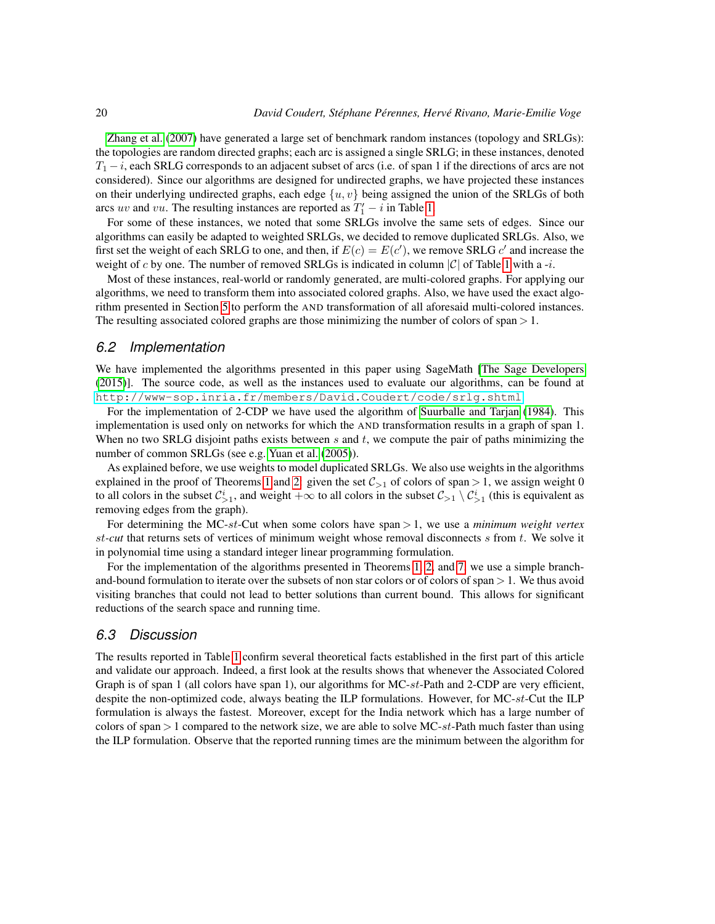[Zhang et al.](#page-24-8) [\(2007\)](#page-24-8) have generated a large set of benchmark random instances (topology and SRLGs): the topologies are random directed graphs; each arc is assigned a single SRLG; in these instances, denoted  $T_1 - i$ , each SRLG corresponds to an adjacent subset of arcs (i.e. of span 1 if the directions of arcs are not considered). Since our algorithms are designed for undirected graphs, we have projected these instances on their underlying undirected graphs, each edge  $\{u, v\}$  being assigned the union of the SRLGs of both arcs uv and vu. The resulting instances are reported as  $T_1' - i$  in Table [1.](#page-20-0)

For some of these instances, we noted that some SRLGs involve the same sets of edges. Since our algorithms can easily be adapted to weighted SRLGs, we decided to remove duplicated SRLGs. Also, we first set the weight of each SRLG to one, and then, if  $E(c) = E(c')$ , we remove SRLG c' and increase the weight of c by one. The number of removed SRLGs is indicated in column  $|\mathcal{C}|$  of Table [1](#page-20-0) with a -i.

Most of these instances, real-world or randomly generated, are multi-colored graphs. For applying our algorithms, we need to transform them into associated colored graphs. Also, we have used the exact algorithm presented in Section [5](#page-11-0) to perform the AND transformation of all aforesaid multi-colored instances. The resulting associated colored graphs are those minimizing the number of colors of span  $> 1$ .

#### <span id="page-19-1"></span>*6.2 Implementation*

We have implemented the algorithms presented in this paper using SageMath [\[The Sage Developers](#page-23-11) [\(2015\)](#page-23-11)]. The source code, as well as the instances used to evaluate our algorithms, can be found at <http://www-sop.inria.fr/members/David.Coudert/code/srlg.shtml>.

For the implementation of 2-CDP we have used the algorithm of [Suurballe and Tarjan](#page-23-9) [\(1984\)](#page-23-9). This implementation is used only on networks for which the AND transformation results in a graph of span 1. When no two SRLG disjoint paths exists between s and t, we compute the pair of paths minimizing the number of common SRLGs (see e.g. [Yuan et al.](#page-24-0) [\(2005\)](#page-24-0)).

As explained before, we use weights to model duplicated SRLGs. We also use weights in the algorithms explained in the proof of Theorems [1](#page-5-2) and [2:](#page-6-0) given the set  $C_{>1}$  of colors of span > 1, we assign weight 0 to all colors in the subset  $\mathcal{C}^i_{>1}$ , and weight  $+\infty$  to all colors in the subset  $\mathcal{C}_{>1} \setminus \mathcal{C}^i_{>1}$  (this is equivalent as removing edges from the graph).

For determining the MC-st-Cut when some colors have span > 1, we use a *minimum weight vertex* st*-cut* that returns sets of vertices of minimum weight whose removal disconnects s from t. We solve it in polynomial time using a standard integer linear programming formulation.

For the implementation of the algorithms presented in Theorems [1,](#page-5-2) [2,](#page-6-0) and [7,](#page-11-1) we use a simple branchand-bound formulation to iterate over the subsets of non star colors or of colors of span  $> 1$ . We thus avoid visiting branches that could not lead to better solutions than current bound. This allows for significant reductions of the search space and running time.

#### <span id="page-19-0"></span>*6.3 Discussion*

The results reported in Table [1](#page-20-0) confirm several theoretical facts established in the first part of this article and validate our approach. Indeed, a first look at the results shows that whenever the Associated Colored Graph is of span 1 (all colors have span 1), our algorithms for MC-st-Path and 2-CDP are very efficient, despite the non-optimized code, always beating the ILP formulations. However, for MC-st-Cut the ILP formulation is always the fastest. Moreover, except for the India network which has a large number of colors of span  $> 1$  compared to the network size, we are able to solve MC-st-Path much faster than using the ILP formulation. Observe that the reported running times are the minimum between the algorithm for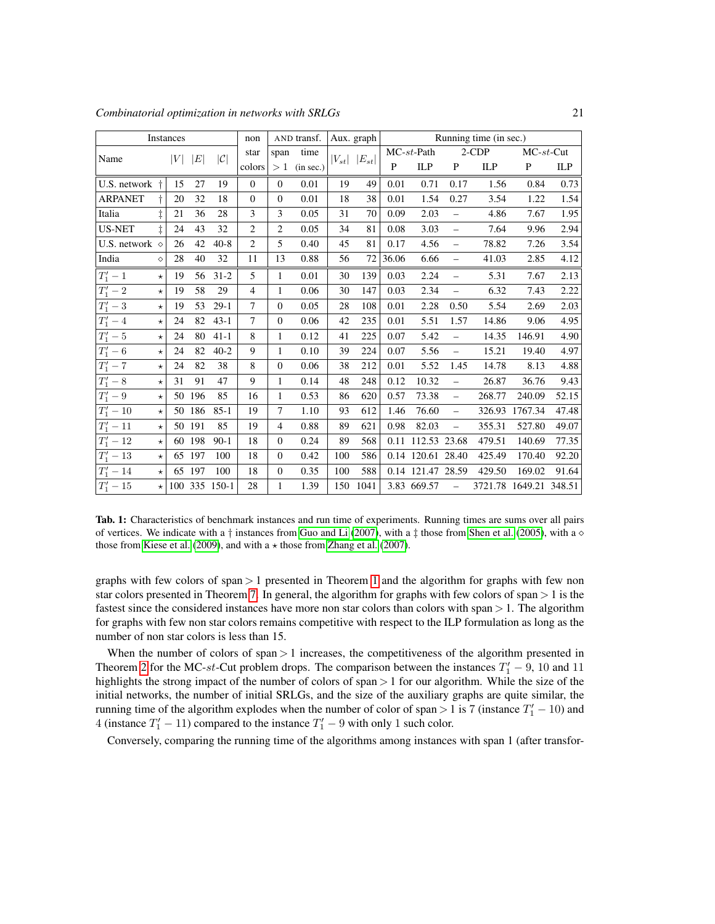*Combinatorial optimization in networks with SRLGs* 21

| Instances               |            |    |        |                       | non            |                | Running time (in sec.)<br>AND transf.<br>Aux. graph |     |                       |               |                   |          |        |                        |       |
|-------------------------|------------|----|--------|-----------------------|----------------|----------------|-----------------------------------------------------|-----|-----------------------|---------------|-------------------|----------|--------|------------------------|-------|
| Name                    |            | V  | E      | C                     | star           | span           | time                                                |     | $ V_{st} $ $ E_{st} $ | $MC-st$ -Path |                   | $2$ -CDP |        | $MC-st-Cut$            |       |
|                         |            |    |        |                       | colors         | >1             | (in sec.)                                           |     |                       | P             | ILP               | P        | ILP    | $\mathbf P$            | ILP   |
| U.S. network            | $\ddagger$ | 15 | 27     | 19                    | $\mathbf{0}$   | $\mathbf{0}$   | 0.01                                                | 19  | 49                    | 0.01          | 0.71              | 0.17     | 1.56   | 0.84                   | 0.73  |
| <b>ARPANET</b>          | t          | 20 | 32     | 18                    | $\mathbf{0}$   | $\mathbf{0}$   | 0.01                                                | 18  | 38                    | 0.01          | 1.54              | 0.27     | 3.54   | 1.22                   | 1.54  |
| Italia                  | $\ddagger$ | 21 | 36     | 28                    | 3              | 3              | 0.05                                                | 31  | 70                    | 0.09          | 2.03              | $\equiv$ | 4.86   | 7.67                   | 1.95  |
| <b>US-NET</b>           | $\pm$      | 24 | 43     | 32                    | $\overline{2}$ | 2              | 0.05                                                | 34  | 81                    | 0.08          | 3.03              | $\equiv$ | 7.64   | 9.96                   | 2.94  |
| U.S. network $\Diamond$ |            | 26 | 42     | $40 - 8$              | 2              | 5              | 0.40                                                | 45  | 81                    | 0.17          | 4.56              | $\equiv$ | 78.82  | 7.26                   | 3.54  |
| India                   | $\Diamond$ | 28 | 40     | 32                    | 11             | 13             | 0.88                                                | 56  | 72                    | 36.06         | 6.66              | $\equiv$ | 41.03  | 2.85                   | 4.12  |
| $T'_1-1$                | $\star$    | 19 | 56     | $31 - 2$              | 5              | $\mathbf{1}$   | 0.01                                                | 30  | 139                   | 0.03          | 2.24              | $\equiv$ | 5.31   | 7.67                   | 2.13  |
| $T'_1-2$                | $\star$    | 19 | 58     | 29                    | $\overline{4}$ | $\mathbf{1}$   | 0.06                                                | 30  | 147                   | 0.03          | 2.34              | $\equiv$ | 6.32   | 7.43                   | 2.22  |
| $T'_1-3$                | $\star$    | 19 | 53     | $29-1$                | $\overline{7}$ | $\mathbf{0}$   | 0.05                                                | 28  | 108                   | 0.01          | 2.28              | 0.50     | 5.54   | 2.69                   | 2.03  |
| $T'_1 - 4$              | $\star$    | 24 | 82     | $43 - 1$              | $\tau$         | $\mathbf{0}$   | 0.06                                                | 42  | 235                   | 0.01          | 5.51              | 1.57     | 14.86  | 9.06                   | 4.95  |
| $T'_1-5$                | $\star$    | 24 | 80     | $41 - 1$              | 8              | 1              | 0.12                                                | 41  | 225                   | 0.07          | 5.42              | $\equiv$ | 14.35  | 146.91                 | 4.90  |
| $T'_1 - 6$              | $\star$    | 24 | 82     | $40 - 2$              | 9              | $\mathbf{1}$   | 0.10                                                | 39  | 224                   | 0.07          | 5.56              | $\equiv$ | 15.21  | 19.40                  | 4.97  |
| $T'_1 - 7$              | $\star$    | 24 | 82     | 38                    | 8              | $\mathbf{0}$   | 0.06                                                | 38  | 212                   | 0.01          | 5.52              | 1.45     | 14.78  | 8.13                   | 4.88  |
| $T'_1 - 8$              | $\star$    | 31 | 91     | 47                    | 9              | 1              | 0.14                                                | 48  | 248                   | 0.12          | 10.32             | $\equiv$ | 26.87  | 36.76                  | 9.43  |
| $T'_1 - 9$              | $\star$    |    | 50 196 | 85                    | 16             | 1              | 0.53                                                | 86  | 620                   | 0.57          | 73.38             | $\equiv$ | 268.77 | 240.09                 | 52.15 |
| $T'_1 - 10$             | $\star$    |    | 50 186 | $85 - 1$              | 19             | 7              | 1.10                                                | 93  | 612                   | 1.46          | 76.60             | $\equiv$ | 326.93 | 1767.34                | 47.48 |
| $T'_1 - 11$             | $\star$    |    | 50 191 | 85                    | 19             | $\overline{4}$ | 0.88                                                | 89  | 621                   | 0.98          | 82.03             | $\equiv$ | 355.31 | 527.80                 | 49.07 |
| $T'_1-12$               | $\star$    |    | 60 198 | $90-1$                | 18             | $\mathbf{0}$   | 0.24                                                | 89  | 568                   | 0.11          | 112.53 23.68      |          | 479.51 | 140.69                 | 77.35 |
| $T'_1 - 13$             | $\star$    |    | 65 197 | 100                   | 18             | $\theta$       | 0.42                                                | 100 | 586                   |               | 0.14 120.61 28.40 |          | 425.49 | 170.40                 | 92.20 |
| $T'_1 - 14$             | $\star$    |    | 65 197 | 100                   | 18             | $\theta$       | 0.35                                                | 100 | 588                   |               | 0.14 121.47 28.59 |          | 429.50 | 169.02                 | 91.64 |
| $T'_1-15$               |            |    |        | $\star$ 100 335 150-1 | 28             | $\mathbf{1}$   | 1.39                                                | 150 | 1041                  |               | 3.83 669.57       | $\equiv$ |        | 3721.78 1649.21 348.51 |       |

<span id="page-20-0"></span>Tab. 1: Characteristics of benchmark instances and run time of experiments. Running times are sums over all pairs of vertices. We indicate with a  $\dagger$  instances from [Guo and Li](#page-22-2) [\(2007\)](#page-22-2), with a  $\dagger$  those from [Shen et al.](#page-23-2) [\(2005\)](#page-23-2), with a  $\diamond$ those from [Kiese et al.](#page-23-12) [\(2009\)](#page-23-12), and with a  $\star$  those from [Zhang et al.](#page-24-8) [\(2007\)](#page-24-8).

graphs with few colors of span  $> 1$  $> 1$  presented in Theorem 1 and the algorithm for graphs with few non star colors presented in Theorem [7.](#page-11-1) In general, the algorithm for graphs with few colors of span  $> 1$  is the fastest since the considered instances have more non star colors than colors with span > 1. The algorithm for graphs with few non star colors remains competitive with respect to the ILP formulation as long as the number of non star colors is less than 15.

When the number of colors of span > 1 increases, the competitiveness of the algorithm presented in Theorem [2](#page-6-0) for the MC-st-Cut problem drops. The comparison between the instances  $T_1' - 9$ , 10 and 11 highlights the strong impact of the number of colors of span  $> 1$  for our algorithm. While the size of the initial networks, the number of initial SRLGs, and the size of the auxiliary graphs are quite similar, the running time of the algorithm explodes when the number of color of span > 1 is 7 (instance  $T'_1$  – 10) and 4 (instance  $T_1' - 11$ ) compared to the instance  $T_1' - 9$  with only 1 such color.

Conversely, comparing the running time of the algorithms among instances with span 1 (after transfor-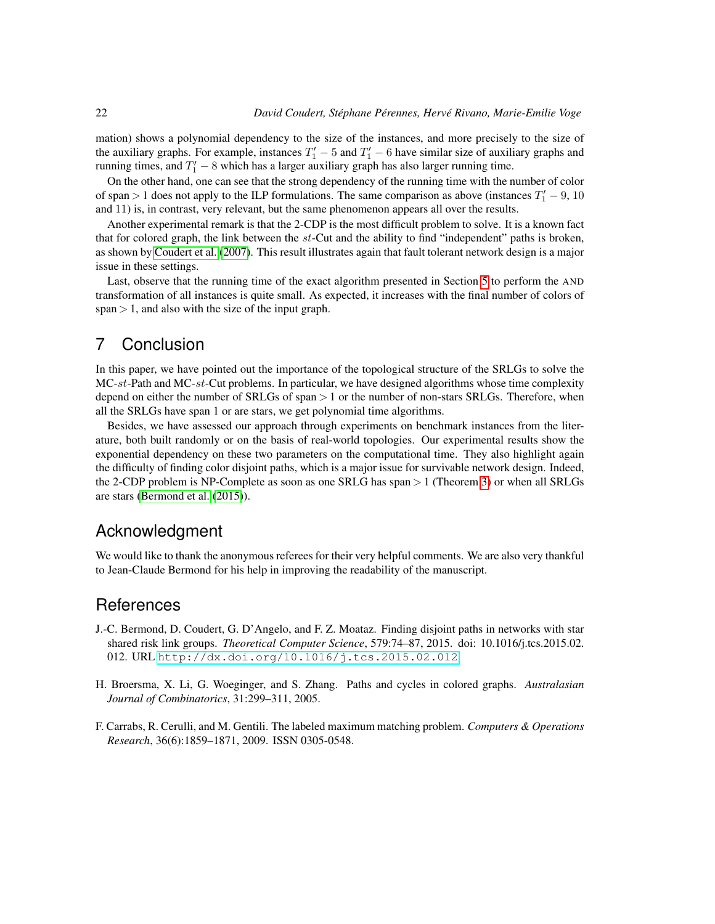mation) shows a polynomial dependency to the size of the instances, and more precisely to the size of the auxiliary graphs. For example, instances  $T_1' - 5$  and  $T_1' - 6$  have similar size of auxiliary graphs and running times, and  $T_1' - 8$  which has a larger auxiliary graph has also larger running time.

On the other hand, one can see that the strong dependency of the running time with the number of color of span > 1 does not apply to the ILP formulations. The same comparison as above (instances  $T_1' - 9$ , 10 and 11) is, in contrast, very relevant, but the same phenomenon appears all over the results.

Another experimental remark is that the 2-CDP is the most difficult problem to solve. It is a known fact that for colored graph, the link between the st-Cut and the ability to find "independent" paths is broken, as shown by [Coudert et al.](#page-22-4) [\(2007\)](#page-22-4). This result illustrates again that fault tolerant network design is a major issue in these settings.

Last, observe that the running time of the exact algorithm presented in Section [5](#page-11-0) to perform the AND transformation of all instances is quite small. As expected, it increases with the final number of colors of span  $> 1$ , and also with the size of the input graph.

## 7 Conclusion

In this paper, we have pointed out the importance of the topological structure of the SRLGs to solve the  $MC-st-Path$  and  $MC-st-Cut$  problems. In particular, we have designed algorithms whose time complexity depend on either the number of SRLGs of span > 1 or the number of non-stars SRLGs. Therefore, when all the SRLGs have span 1 or are stars, we get polynomial time algorithms.

Besides, we have assessed our approach through experiments on benchmark instances from the literature, both built randomly or on the basis of real-world topologies. Our experimental results show the exponential dependency on these two parameters on the computational time. They also highlight again the difficulty of finding color disjoint paths, which is a major issue for survivable network design. Indeed, the 2-CDP problem is NP-Complete as soon as one SRLG has span > 1 (Theorem [3\)](#page-7-1) or when all SRLGs are stars [\(Bermond et al.](#page-21-0) [\(2015\)](#page-21-0)).

# Acknowledgment

We would like to thank the anonymous referees for their very helpful comments. We are also very thankful to Jean-Claude Bermond for his help in improving the readability of the manuscript.

## **References**

- <span id="page-21-0"></span>J.-C. Bermond, D. Coudert, G. D'Angelo, and F. Z. Moataz. Finding disjoint paths in networks with star shared risk link groups. *Theoretical Computer Science*, 579:74–87, 2015. doi: 10.1016/j.tcs.2015.02. 012. URL <http://dx.doi.org/10.1016/j.tcs.2015.02.012>.
- <span id="page-21-2"></span>H. Broersma, X. Li, G. Woeginger, and S. Zhang. Paths and cycles in colored graphs. *Australasian Journal of Combinatorics*, 31:299–311, 2005.
- <span id="page-21-1"></span>F. Carrabs, R. Cerulli, and M. Gentili. The labeled maximum matching problem. *Computers & Operations Research*, 36(6):1859–1871, 2009. ISSN 0305-0548.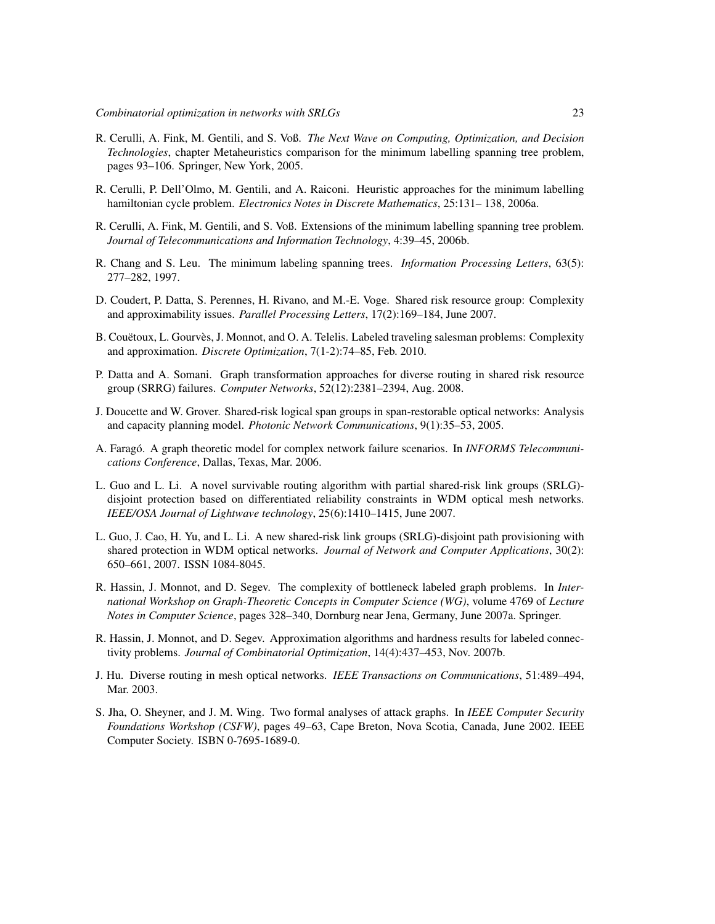- <span id="page-22-11"></span>R. Cerulli, A. Fink, M. Gentili, and S. Voß. *The Next Wave on Computing, Optimization, and Decision Technologies*, chapter Metaheuristics comparison for the minimum labelling spanning tree problem, pages 93–106. Springer, New York, 2005.
- <span id="page-22-9"></span>R. Cerulli, P. Dell'Olmo, M. Gentili, and A. Raiconi. Heuristic approaches for the minimum labelling hamiltonian cycle problem. *Electronics Notes in Discrete Mathematics*, 25:131– 138, 2006a.
- <span id="page-22-10"></span>R. Cerulli, A. Fink, M. Gentili, and S. Voß. Extensions of the minimum labelling spanning tree problem. *Journal of Telecommunications and Information Technology*, 4:39–45, 2006b.
- <span id="page-22-8"></span>R. Chang and S. Leu. The minimum labeling spanning trees. *Information Processing Letters*, 63(5): 277–282, 1997.
- <span id="page-22-4"></span>D. Coudert, P. Datta, S. Perennes, H. Rivano, and M.-E. Voge. Shared risk resource group: Complexity and approximability issues. *Parallel Processing Letters*, 17(2):169–184, June 2007.
- <span id="page-22-14"></span>B. Couëtoux, L. Gourvès, J. Monnot, and O. A. Telelis. Labeled traveling salesman problems: Complexity and approximation. *Discrete Optimization*, 7(1-2):74–85, Feb. 2010.
- <span id="page-22-7"></span>P. Datta and A. Somani. Graph transformation approaches for diverse routing in shared risk resource group (SRRG) failures. *Computer Networks*, 52(12):2381–2394, Aug. 2008.
- <span id="page-22-3"></span>J. Doucette and W. Grover. Shared-risk logical span groups in span-restorable optical networks: Analysis and capacity planning model. *Photonic Network Communications*, 9(1):35–53, 2005.
- <span id="page-22-5"></span>A. Faragó. A graph theoretic model for complex network failure scenarios. In *INFORMS Telecommunications Conference*, Dallas, Texas, Mar. 2006.
- <span id="page-22-2"></span>L. Guo and L. Li. A novel survivable routing algorithm with partial shared-risk link groups (SRLG) disjoint protection based on differentiated reliability constraints in WDM optical mesh networks. *IEEE/OSA Journal of Lightwave technology*, 25(6):1410–1415, June 2007.
- <span id="page-22-1"></span>L. Guo, J. Cao, H. Yu, and L. Li. A new shared-risk link groups (SRLG)-disjoint path provisioning with shared protection in WDM optical networks. *Journal of Network and Computer Applications*, 30(2): 650–661, 2007. ISSN 1084-8045.
- <span id="page-22-12"></span>R. Hassin, J. Monnot, and D. Segev. The complexity of bottleneck labeled graph problems. In *International Workshop on Graph-Theoretic Concepts in Computer Science (WG)*, volume 4769 of *Lecture Notes in Computer Science*, pages 328–340, Dornburg near Jena, Germany, June 2007a. Springer.
- <span id="page-22-13"></span>R. Hassin, J. Monnot, and D. Segev. Approximation algorithms and hardness results for labeled connectivity problems. *Journal of Combinatorial Optimization*, 14(4):437–453, Nov. 2007b.
- <span id="page-22-0"></span>J. Hu. Diverse routing in mesh optical networks. *IEEE Transactions on Communications*, 51:489–494, Mar. 2003.
- <span id="page-22-6"></span>S. Jha, O. Sheyner, and J. M. Wing. Two formal analyses of attack graphs. In *IEEE Computer Security Foundations Workshop (CSFW)*, pages 49–63, Cape Breton, Nova Scotia, Canada, June 2002. IEEE Computer Society. ISBN 0-7695-1689-0.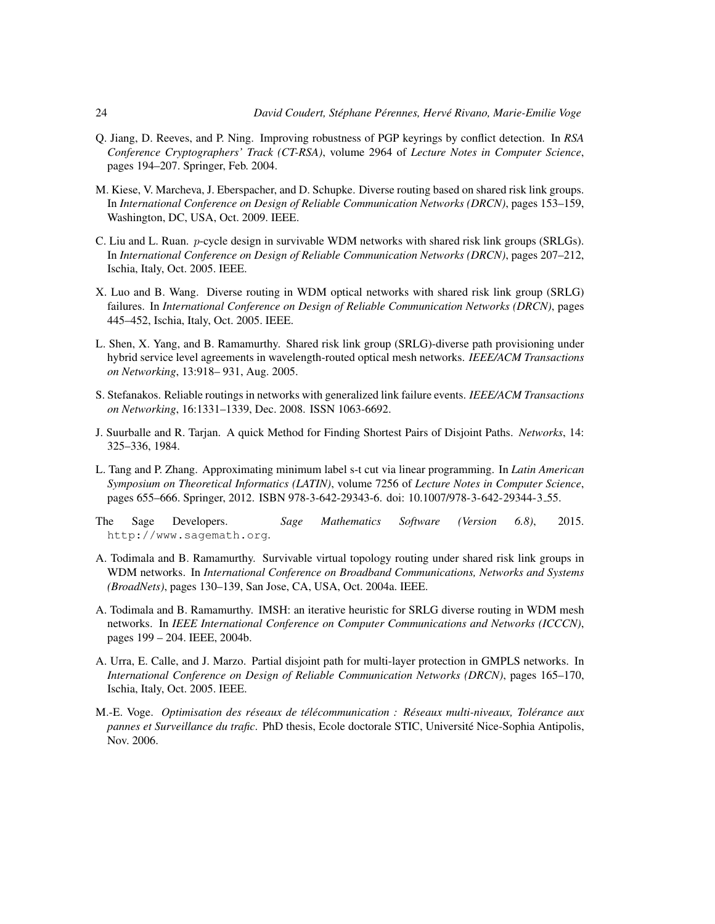- <span id="page-23-7"></span>Q. Jiang, D. Reeves, and P. Ning. Improving robustness of PGP keyrings by conflict detection. In *RSA Conference Cryptographers' Track (CT-RSA)*, volume 2964 of *Lecture Notes in Computer Science*, pages 194–207. Springer, Feb. 2004.
- <span id="page-23-12"></span>M. Kiese, V. Marcheva, J. Eberspacher, and D. Schupke. Diverse routing based on shared risk link groups. In *International Conference on Design of Reliable Communication Networks (DRCN)*, pages 153–159, Washington, DC, USA, Oct. 2009. IEEE.
- <span id="page-23-5"></span>C. Liu and L. Ruan. p-cycle design in survivable WDM networks with shared risk link groups (SRLGs). In *International Conference on Design of Reliable Communication Networks (DRCN)*, pages 207–212, Ischia, Italy, Oct. 2005. IEEE.
- <span id="page-23-6"></span>X. Luo and B. Wang. Diverse routing in WDM optical networks with shared risk link group (SRLG) failures. In *International Conference on Design of Reliable Communication Networks (DRCN)*, pages 445–452, Ischia, Italy, Oct. 2005. IEEE.
- <span id="page-23-2"></span>L. Shen, X. Yang, and B. Ramamurthy. Shared risk link group (SRLG)-diverse path provisioning under hybrid service level agreements in wavelength-routed optical mesh networks. *IEEE/ACM Transactions on Networking*, 13:918– 931, Aug. 2005.
- <span id="page-23-4"></span>S. Stefanakos. Reliable routings in networks with generalized link failure events. *IEEE/ACM Transactions on Networking*, 16:1331–1339, Dec. 2008. ISSN 1063-6692.
- <span id="page-23-9"></span>J. Suurballe and R. Tarjan. A quick Method for Finding Shortest Pairs of Disjoint Paths. *Networks*, 14: 325–336, 1984.
- <span id="page-23-8"></span>L. Tang and P. Zhang. Approximating minimum label s-t cut via linear programming. In *Latin American Symposium on Theoretical Informatics (LATIN)*, volume 7256 of *Lecture Notes in Computer Science*, pages 655–666. Springer, 2012. ISBN 978-3-642-29343-6. doi: 10.1007/978-3-642-29344-3 55.
- <span id="page-23-11"></span>The Sage Developers. *Sage Mathematics Software (Version 6.8)*, 2015. http://www.sagemath.org.
- <span id="page-23-0"></span>A. Todimala and B. Ramamurthy. Survivable virtual topology routing under shared risk link groups in WDM networks. In *International Conference on Broadband Communications, Networks and Systems (BroadNets)*, pages 130–139, San Jose, CA, USA, Oct. 2004a. IEEE.
- <span id="page-23-1"></span>A. Todimala and B. Ramamurthy. IMSH: an iterative heuristic for SRLG diverse routing in WDM mesh networks. In *IEEE International Conference on Computer Communications and Networks (ICCCN)*, pages 199 – 204. IEEE, 2004b.
- <span id="page-23-3"></span>A. Urra, E. Calle, and J. Marzo. Partial disjoint path for multi-layer protection in GMPLS networks. In *International Conference on Design of Reliable Communication Networks (DRCN)*, pages 165–170, Ischia, Italy, Oct. 2005. IEEE.
- <span id="page-23-10"></span>M.-E. Voge. *Optimisation des reseaux de t ´ el´ ecommunication : R ´ eseaux multi-niveaux, Tol ´ erance aux ´ pannes et Surveillance du trafic*. PhD thesis, Ecole doctorale STIC, Universite Nice-Sophia Antipolis, ´ Nov. 2006.